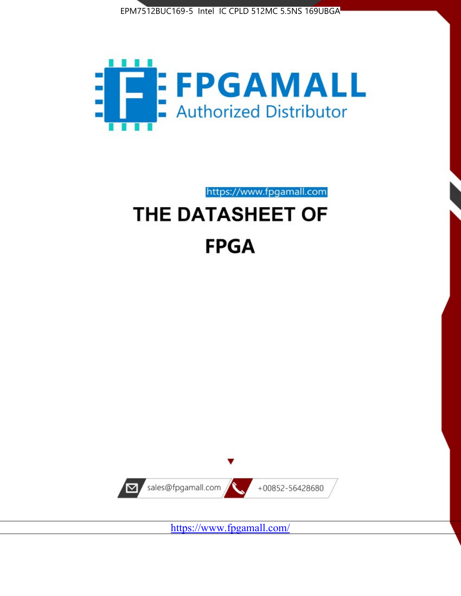



https://www.fpgamall.com

# THE DATASHEET OF **FPGA**



<https://www.fpgamall.com/>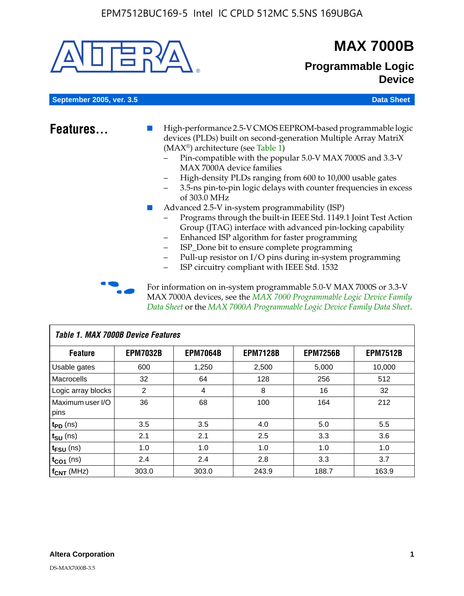

# **MAX 7000B**

# **Programmable Logic Device**

**September 2005, ver. 3.5 Data Sheet** Construction of the Construction of the Construction of the Data Sheet

- **Features...** High-performance 2.5-V CMOS EEPROM-based programmable logic devices (PLDs) built on second-generation Multiple Array MatriX (MAX®) architecture (see Table 1)
	- Pin-compatible with the popular 5.0-V MAX 7000S and 3.3-V MAX 7000A device families
	- High-density PLDs ranging from 600 to 10,000 usable gates
	- 3.5-ns pin-to-pin logic delays with counter frequencies in excess of 303.0 MHz
	- Advanced 2.5-V in-system programmability (ISP)
	- Programs through the built-in IEEE Std. 1149.1 Joint Test Action Group (JTAG) interface with advanced pin-locking capability
	- Enhanced ISP algorithm for faster programming
	- ISP\_Done bit to ensure complete programming
	- Pull-up resistor on I/O pins during in-system programming
	- ISP circuitry compliant with IEEE Std. 1532

For information on in-system programmable 5.0-V MAX 7000S or 3.3-V MAX 7000A devices, see the *MAX 7000 Programmable Logic Device Family Data Sheet* or the *MAX 7000A Programmable Logic Device Family Data Sheet*.

| Table 1. MAX 7000B Device Features |                 |                 |                 |                 |                 |  |  |  |
|------------------------------------|-----------------|-----------------|-----------------|-----------------|-----------------|--|--|--|
| <b>Feature</b>                     | <b>EPM7032B</b> | <b>EPM7064B</b> | <b>EPM7128B</b> | <b>EPM7256B</b> | <b>EPM7512B</b> |  |  |  |
| Usable gates                       | 600             | 1,250           | 2,500           | 5,000           | 10,000          |  |  |  |
| <b>Macrocells</b>                  | 32              | 64              | 128             | 256             | 512             |  |  |  |
| Logic array blocks                 | 2               | 4               | 8               | 16              | 32              |  |  |  |
| Maximum user I/O                   | 36              | 68              | 100             | 164             | 212             |  |  |  |
| pins                               |                 |                 |                 |                 |                 |  |  |  |
| $t_{PD}$ (ns)                      | 3.5             | 3.5             | 4.0             | 5.0             | 5.5             |  |  |  |
| $t_{\text{SU}}$ (ns)               | 2.1             | 2.1             | 2.5             | 3.3             | 3.6             |  |  |  |
| $t_{\text{FSU}}$ (ns)              | 1.0             | 1.0             | 1.0             | 1.0             | 1.0             |  |  |  |
| $t_{CO1}$ (ns)                     | 2.4             | 2.4             | 2.8             | 3.3             | 3.7             |  |  |  |
| f <sub>CNT</sub> (MHz)             | 303.0           | 303.0           | 243.9           | 188.7           | 163.9           |  |  |  |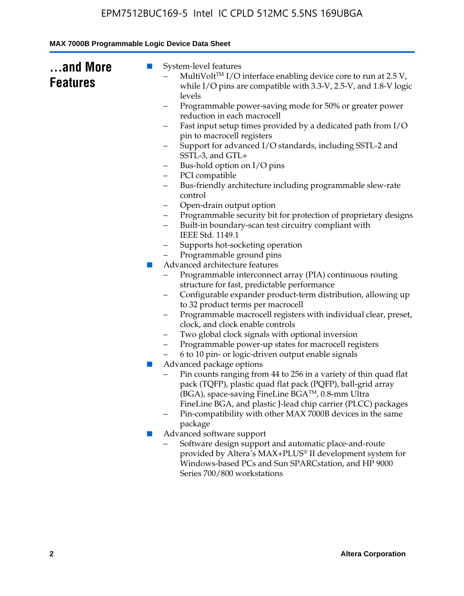| and More<br><b>Features</b> | System-level features<br>$\blacksquare$<br>MultiVolt™ I/O interface enabling device core to run at 2.5 V,<br>while I/O pins are compatible with 3.3-V, 2.5-V, and 1.8-V logic<br>levels<br>Programmable power-saving mode for 50% or greater power<br>-<br>reduction in each macrocell<br>Fast input setup times provided by a dedicated path from I/O<br>pin to macrocell registers<br>Support for advanced I/O standards, including SSTL-2 and<br>SSTL-3, and GTL+<br>Bus-hold option on I/O pins<br>-<br>PCI compatible<br>-<br>Bus-friendly architecture including programmable slew-rate<br>-<br>control<br>Open-drain output option<br>-<br>Programmable security bit for protection of proprietary designs<br>-<br>Built-in boundary-scan test circuitry compliant with<br>$\overline{\phantom{0}}$<br>IEEE Std. 1149.1<br>Supports hot-socketing operation<br>-<br>Programmable ground pins<br>Advanced architecture features<br>$\mathcal{L}_{\mathcal{A}}$<br>Programmable interconnect array (PIA) continuous routing<br>structure for fast, predictable performance<br>Configurable expander product-term distribution, allowing up<br>-<br>to 32 product terms per macrocell<br>Programmable macrocell registers with individual clear, preset,<br>-<br>clock, and clock enable controls<br>Two global clock signals with optional inversion<br>Programmable power-up states for macrocell registers<br>6 to 10 pin- or logic-driven output enable signals<br>Advanced package options<br>$\mathbb{Z}$<br>Pin counts ranging from 44 to 256 in a variety of thin quad flat<br>pack (TQFP), plastic quad flat pack (PQFP), ball-grid array<br>(BGA), space-saving FineLine BGA™, 0.8-mm Ultra |
|-----------------------------|-----------------------------------------------------------------------------------------------------------------------------------------------------------------------------------------------------------------------------------------------------------------------------------------------------------------------------------------------------------------------------------------------------------------------------------------------------------------------------------------------------------------------------------------------------------------------------------------------------------------------------------------------------------------------------------------------------------------------------------------------------------------------------------------------------------------------------------------------------------------------------------------------------------------------------------------------------------------------------------------------------------------------------------------------------------------------------------------------------------------------------------------------------------------------------------------------------------------------------------------------------------------------------------------------------------------------------------------------------------------------------------------------------------------------------------------------------------------------------------------------------------------------------------------------------------------------------------------------------------------------------------------------------------------------------------------------------------|
|                             | FineLine BGA, and plastic J-lead chip carrier (PLCC) packages<br>Pin-compatibility with other MAX 7000B devices in the same<br>package                                                                                                                                                                                                                                                                                                                                                                                                                                                                                                                                                                                                                                                                                                                                                                                                                                                                                                                                                                                                                                                                                                                                                                                                                                                                                                                                                                                                                                                                                                                                                                    |
|                             | Advanced software support<br>ш<br>Software design support and automatic place-and-route<br>provided by Altera's MAX+PLUS® II development system for<br>Windows-based PCs and Sun SPARCstation, and HP 9000<br>Series 700/800 workstations                                                                                                                                                                                                                                                                                                                                                                                                                                                                                                                                                                                                                                                                                                                                                                                                                                                                                                                                                                                                                                                                                                                                                                                                                                                                                                                                                                                                                                                                 |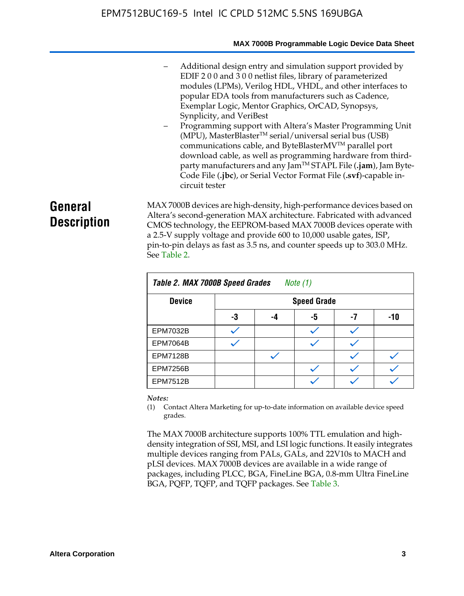#### **MAX 7000B Programmable Logic Device Data Sheet**

- Additional design entry and simulation support provided by EDIF 2 0 0 and 3 0 0 netlist files, library of parameterized modules (LPMs), Verilog HDL, VHDL, and other interfaces to popular EDA tools from manufacturers such as Cadence, Exemplar Logic, Mentor Graphics, OrCAD, Synopsys, Synplicity, and VeriBest
- Programming support with Altera's Master Programming Unit  $(MPU)$ , MasterBlaster<sup>TM</sup> serial/universal serial bus (USB) communications cable, and ByteBlasterMVTM parallel port download cable, as well as programming hardware from thirdparty manufacturers and any JamTM STAPL File (**.jam**), Jam Byte-Code File (**.jbc**), or Serial Vector Format File (**.svf**)-capable incircuit tester

# **General Description**

MAX 7000B devices are high-density, high-performance devices based on Altera's second-generation MAX architecture. Fabricated with advanced CMOS technology, the EEPROM-based MAX 7000B devices operate with a 2.5-V supply voltage and provide 600 to 10,000 usable gates, ISP, pin-to-pin delays as fast as 3.5 ns, and counter speeds up to 303.0 MHz. See Table 2.

| Table 2. MAX 7000B Speed Grades<br>Note $(1)$ |    |                    |    |    |     |  |  |  |  |
|-----------------------------------------------|----|--------------------|----|----|-----|--|--|--|--|
| <b>Device</b>                                 |    | <b>Speed Grade</b> |    |    |     |  |  |  |  |
|                                               | -3 | -4                 | -5 | -7 | -10 |  |  |  |  |
| <b>EPM7032B</b>                               |    |                    |    |    |     |  |  |  |  |
| <b>EPM7064B</b>                               |    |                    |    |    |     |  |  |  |  |
| <b>EPM7128B</b>                               |    |                    |    |    |     |  |  |  |  |
| <b>EPM7256B</b>                               |    |                    |    |    |     |  |  |  |  |
| <b>EPM7512B</b>                               |    |                    |    |    |     |  |  |  |  |

#### *Notes:*

(1) Contact Altera Marketing for up-to-date information on available device speed grades.

The MAX 7000B architecture supports 100% TTL emulation and highdensity integration of SSI, MSI, and LSI logic functions. It easily integrates multiple devices ranging from PALs, GALs, and 22V10s to MACH and pLSI devices. MAX 7000B devices are available in a wide range of packages, including PLCC, BGA, FineLine BGA, 0.8-mm Ultra FineLine BGA, PQFP, TQFP, and TQFP packages. See Table 3.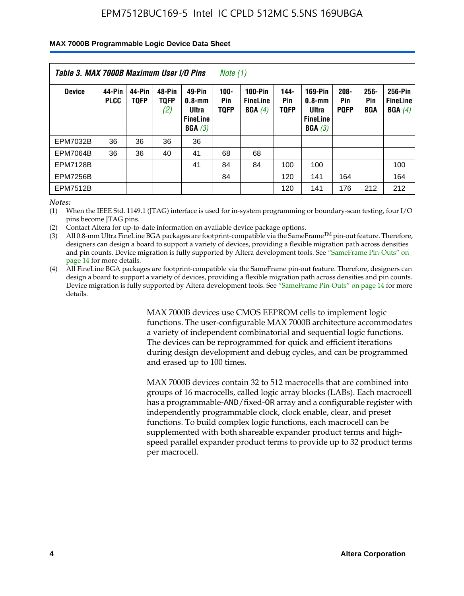#### **MAX 7000B Programmable Logic Device Data Sheet**

| Table 3. MAX 7000B Maximum User I/O Pins<br>Note (1) |                       |                       |                              |                                                            |                                      |                                             |                            |                                                                    |                               |                              |                                      |
|------------------------------------------------------|-----------------------|-----------------------|------------------------------|------------------------------------------------------------|--------------------------------------|---------------------------------------------|----------------------------|--------------------------------------------------------------------|-------------------------------|------------------------------|--------------------------------------|
| <b>Device</b>                                        | 44-Pin<br><b>PLCC</b> | 44-Pin<br><b>TOFP</b> | 48-Pin<br><b>TQFP</b><br>(2) | 49-Pin<br>$0.8 - mm$<br>Ultra<br><b>FineLine</b><br>BGA(3) | $100 -$<br><b>Pin</b><br><b>TQFP</b> | <b>100-Pin</b><br><b>FineLine</b><br>BGA(4) | 144-<br>Pin<br><b>TOFP</b> | <b>169-Pin</b><br>$0.8 - mm$<br>Ultra<br><b>FineLine</b><br>BGA(3) | $208 -$<br>Pin<br><b>PQFP</b> | $256 -$<br>Pin<br><b>BGA</b> | 256-Pin<br><b>FineLine</b><br>BGA(4) |
| <b>EPM7032B</b>                                      | 36                    | 36                    | 36                           | 36                                                         |                                      |                                             |                            |                                                                    |                               |                              |                                      |
| <b>EPM7064B</b>                                      | 36                    | 36                    | 40                           | 41                                                         | 68                                   | 68                                          |                            |                                                                    |                               |                              |                                      |
| <b>EPM7128B</b>                                      |                       |                       |                              | 41                                                         | 84                                   | 84                                          | 100                        | 100                                                                |                               |                              | 100                                  |
| <b>EPM7256B</b>                                      |                       |                       |                              |                                                            | 84                                   |                                             | 120                        | 141                                                                | 164                           |                              | 164                                  |
| <b>EPM7512B</b>                                      |                       |                       |                              |                                                            |                                      |                                             | 120                        | 141                                                                | 176                           | 212                          | 212                                  |

*Notes:*

(1) When the IEEE Std. 1149.1 (JTAG) interface is used for in-system programming or boundary-scan testing, four I/O pins become JTAG pins.

(2) Contact Altera for up-to-date information on available device package options.

(3) All 0.8-mm Ultra FineLine BGA packages are footprint-compatible via the SameFrame<sup>TM</sup> pin-out feature. Therefore, designers can design a board to support a variety of devices, providing a flexible migration path across densities and pin counts. Device migration is fully supported by Altera development tools. See "SameFrame Pin-Outs" on page 14 for more details.

(4) All FineLine BGA packages are footprint-compatible via the SameFrame pin-out feature. Therefore, designers can design a board to support a variety of devices, providing a flexible migration path across densities and pin counts. Device migration is fully supported by Altera development tools. See "SameFrame Pin-Outs" on page 14 for more details.

> MAX 7000B devices use CMOS EEPROM cells to implement logic functions. The user-configurable MAX 7000B architecture accommodates a variety of independent combinatorial and sequential logic functions. The devices can be reprogrammed for quick and efficient iterations during design development and debug cycles, and can be programmed and erased up to 100 times.

> MAX 7000B devices contain 32 to 512 macrocells that are combined into groups of 16 macrocells, called logic array blocks (LABs). Each macrocell has a programmable-AND/fixed-OR array and a configurable register with independently programmable clock, clock enable, clear, and preset functions. To build complex logic functions, each macrocell can be supplemented with both shareable expander product terms and highspeed parallel expander product terms to provide up to 32 product terms per macrocell.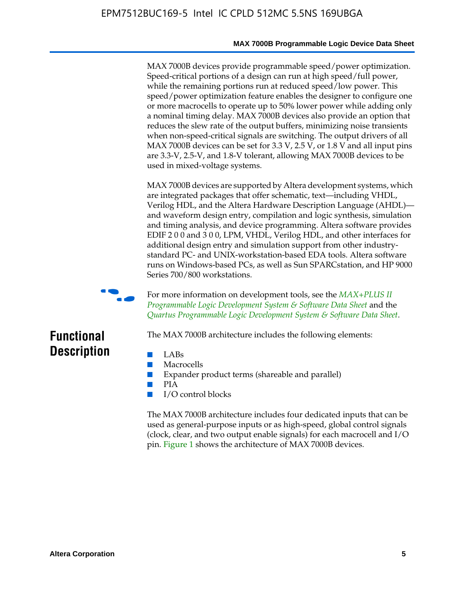#### **MAX 7000B Programmable Logic Device Data Sheet**

MAX 7000B devices provide programmable speed/power optimization. Speed-critical portions of a design can run at high speed/full power, while the remaining portions run at reduced speed/low power. This speed/power optimization feature enables the designer to configure one or more macrocells to operate up to 50% lower power while adding only a nominal timing delay. MAX 7000B devices also provide an option that reduces the slew rate of the output buffers, minimizing noise transients when non-speed-critical signals are switching. The output drivers of all MAX 7000B devices can be set for 3.3 V, 2.5 V, or 1.8 V and all input pins are 3.3-V, 2.5-V, and 1.8-V tolerant, allowing MAX 7000B devices to be used in mixed-voltage systems.

MAX 7000B devices are supported by Altera development systems, which are integrated packages that offer schematic, text—including VHDL, Verilog HDL, and the Altera Hardware Description Language (AHDL) and waveform design entry, compilation and logic synthesis, simulation and timing analysis, and device programming. Altera software provides EDIF 2 0 0 and 3 0 0, LPM, VHDL, Verilog HDL, and other interfaces for additional design entry and simulation support from other industrystandard PC- and UNIX-workstation-based EDA tools. Altera software runs on Windows-based PCs, as well as Sun SPARCstation, and HP 9000 Series 700/800 workstations.



**For more information on development tools, see the** *MAX+PLUS II Programmable Logic Development System & Software Data Sheet* and the *Quartus Programmable Logic Development System & Software Data Sheet*.

# **Functional Description**

- LABs
- Macrocells
- Expander product terms (shareable and parallel)

The MAX 7000B architecture includes the following elements:

- PIA
- I/O control blocks

The MAX 7000B architecture includes four dedicated inputs that can be used as general-purpose inputs or as high-speed, global control signals (clock, clear, and two output enable signals) for each macrocell and I/O pin. Figure 1 shows the architecture of MAX 7000B devices.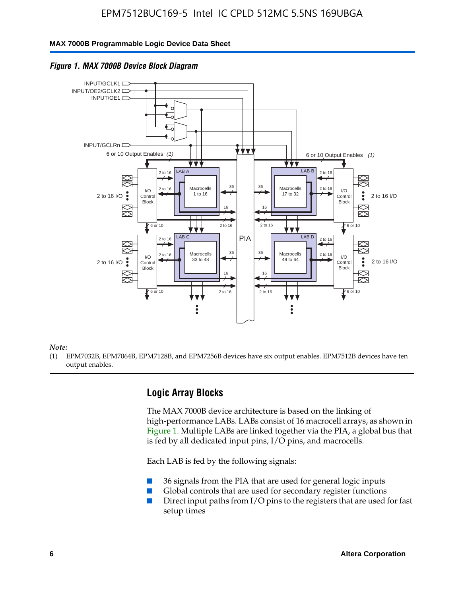#### **MAX 7000B Programmable Logic Device Data Sheet**





#### *Note:*

(1) EPM7032B, EPM7064B, EPM7128B, and EPM7256B devices have six output enables. EPM7512B devices have ten output enables.

### **Logic Array Blocks**

The MAX 7000B device architecture is based on the linking of high-performance LABs. LABs consist of 16 macrocell arrays, as shown in Figure 1. Multiple LABs are linked together via the PIA, a global bus that is fed by all dedicated input pins,  $I/O$  pins, and macrocells.

Each LAB is fed by the following signals:

- 36 signals from the PIA that are used for general logic inputs
- Global controls that are used for secondary register functions
- Direct input paths from I/O pins to the registers that are used for fast setup times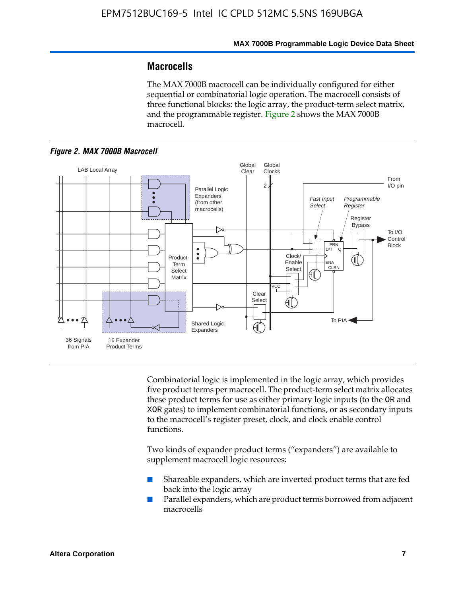## **Macrocells**

The MAX 7000B macrocell can be individually configured for either sequential or combinatorial logic operation. The macrocell consists of three functional blocks: the logic array, the product-term select matrix, and the programmable register. Figure 2 shows the MAX 7000B macrocell.





Combinatorial logic is implemented in the logic array, which provides five product terms per macrocell. The product-term select matrix allocates these product terms for use as either primary logic inputs (to the OR and XOR gates) to implement combinatorial functions, or as secondary inputs to the macrocell's register preset, clock, and clock enable control functions.

Two kinds of expander product terms ("expanders") are available to supplement macrocell logic resources:

- Shareable expanders, which are inverted product terms that are fed back into the logic array
- Parallel expanders, which are product terms borrowed from adjacent macrocells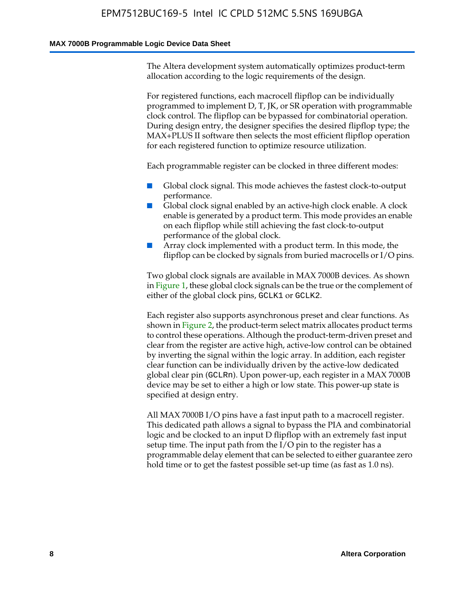#### **MAX 7000B Programmable Logic Device Data Sheet**

The Altera development system automatically optimizes product-term allocation according to the logic requirements of the design.

For registered functions, each macrocell flipflop can be individually programmed to implement D, T, JK, or SR operation with programmable clock control. The flipflop can be bypassed for combinatorial operation. During design entry, the designer specifies the desired flipflop type; the MAX+PLUS II software then selects the most efficient flipflop operation for each registered function to optimize resource utilization.

Each programmable register can be clocked in three different modes:

- Global clock signal. This mode achieves the fastest clock-to-output performance.
- Global clock signal enabled by an active-high clock enable. A clock enable is generated by a product term. This mode provides an enable on each flipflop while still achieving the fast clock-to-output performance of the global clock.
- Array clock implemented with a product term. In this mode, the flipflop can be clocked by signals from buried macrocells or I/O pins.

Two global clock signals are available in MAX 7000B devices. As shown in Figure 1, these global clock signals can be the true or the complement of either of the global clock pins, GCLK1 or GCLK2.

Each register also supports asynchronous preset and clear functions. As shown in Figure 2, the product-term select matrix allocates product terms to control these operations. Although the product-term-driven preset and clear from the register are active high, active-low control can be obtained by inverting the signal within the logic array. In addition, each register clear function can be individually driven by the active-low dedicated global clear pin (GCLRn). Upon power-up, each register in a MAX 7000B device may be set to either a high or low state. This power-up state is specified at design entry.

All MAX 7000B I/O pins have a fast input path to a macrocell register. This dedicated path allows a signal to bypass the PIA and combinatorial logic and be clocked to an input D flipflop with an extremely fast input setup time. The input path from the I/O pin to the register has a programmable delay element that can be selected to either guarantee zero hold time or to get the fastest possible set-up time (as fast as 1.0 ns).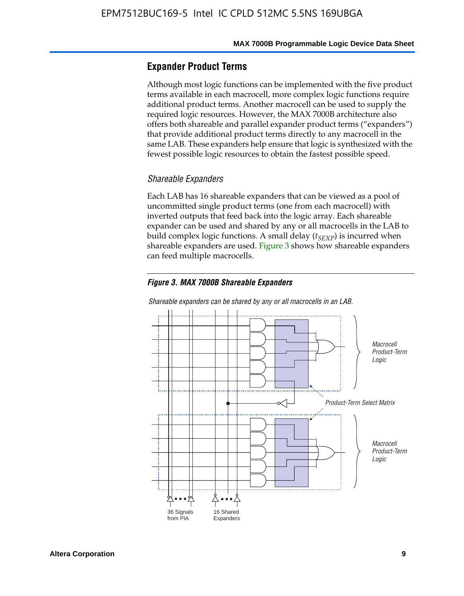### **Expander Product Terms**

Although most logic functions can be implemented with the five product terms available in each macrocell, more complex logic functions require additional product terms. Another macrocell can be used to supply the required logic resources. However, the MAX 7000B architecture also offers both shareable and parallel expander product terms ("expanders") that provide additional product terms directly to any macrocell in the same LAB. These expanders help ensure that logic is synthesized with the fewest possible logic resources to obtain the fastest possible speed.

#### *Shareable Expanders*

Each LAB has 16 shareable expanders that can be viewed as a pool of uncommitted single product terms (one from each macrocell) with inverted outputs that feed back into the logic array. Each shareable expander can be used and shared by any or all macrocells in the LAB to build complex logic functions. A small delay ( $t_{SEXP}$ ) is incurred when shareable expanders are used. Figure 3 shows how shareable expanders can feed multiple macrocells.

#### *Figure 3. MAX 7000B Shareable Expanders*



*Shareable expanders can be shared by any or all macrocells in an LAB.*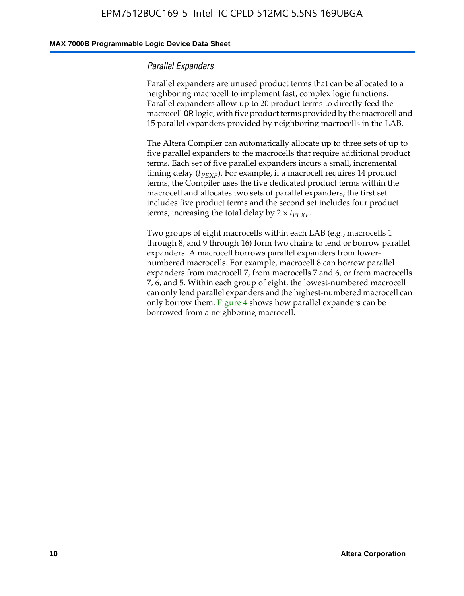#### **MAX 7000B Programmable Logic Device Data Sheet**

#### *Parallel Expanders*

Parallel expanders are unused product terms that can be allocated to a neighboring macrocell to implement fast, complex logic functions. Parallel expanders allow up to 20 product terms to directly feed the macrocell OR logic, with five product terms provided by the macrocell and 15 parallel expanders provided by neighboring macrocells in the LAB.

The Altera Compiler can automatically allocate up to three sets of up to five parallel expanders to the macrocells that require additional product terms. Each set of five parallel expanders incurs a small, incremental timing delay ( $t_{PEXP}$ ). For example, if a macrocell requires 14 product terms, the Compiler uses the five dedicated product terms within the macrocell and allocates two sets of parallel expanders; the first set includes five product terms and the second set includes four product terms, increasing the total delay by  $2 \times t_{PEXP}$ .

Two groups of eight macrocells within each LAB (e.g., macrocells 1 through 8, and 9 through 16) form two chains to lend or borrow parallel expanders. A macrocell borrows parallel expanders from lowernumbered macrocells. For example, macrocell 8 can borrow parallel expanders from macrocell 7, from macrocells 7 and 6, or from macrocells 7, 6, and 5. Within each group of eight, the lowest-numbered macrocell can only lend parallel expanders and the highest-numbered macrocell can only borrow them. Figure 4 shows how parallel expanders can be borrowed from a neighboring macrocell.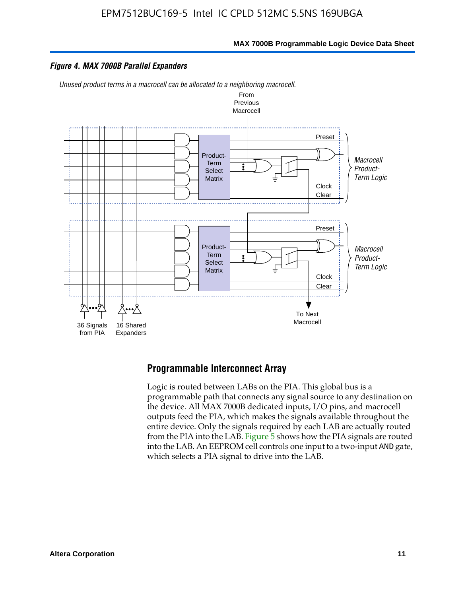

#### *Figure 4. MAX 7000B Parallel Expanders*

*Unused product terms in a macrocell can be allocated to a neighboring macrocell.*



#### **Programmable Interconnect Array**

Logic is routed between LABs on the PIA. This global bus is a programmable path that connects any signal source to any destination on the device. All MAX 7000B dedicated inputs, I/O pins, and macrocell outputs feed the PIA, which makes the signals available throughout the entire device. Only the signals required by each LAB are actually routed from the PIA into the LAB. Figure 5 shows how the PIA signals are routed into the LAB. An EEPROM cell controls one input to a two-input AND gate, which selects a PIA signal to drive into the LAB.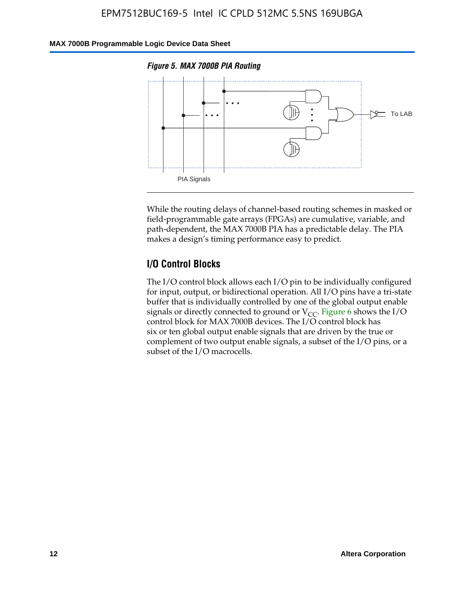#### **MAX 7000B Programmable Logic Device Data Sheet**





While the routing delays of channel-based routing schemes in masked or field-programmable gate arrays (FPGAs) are cumulative, variable, and path-dependent, the MAX 7000B PIA has a predictable delay. The PIA makes a design's timing performance easy to predict.

### **I/O Control Blocks**

The I/O control block allows each I/O pin to be individually configured for input, output, or bidirectional operation. All I/O pins have a tri-state buffer that is individually controlled by one of the global output enable signals or directly connected to ground or  $V_{CC}$ . Figure 6 shows the I/O control block for MAX 7000B devices. The I/O control block has six or ten global output enable signals that are driven by the true or complement of two output enable signals, a subset of the I/O pins, or a subset of the I/O macrocells.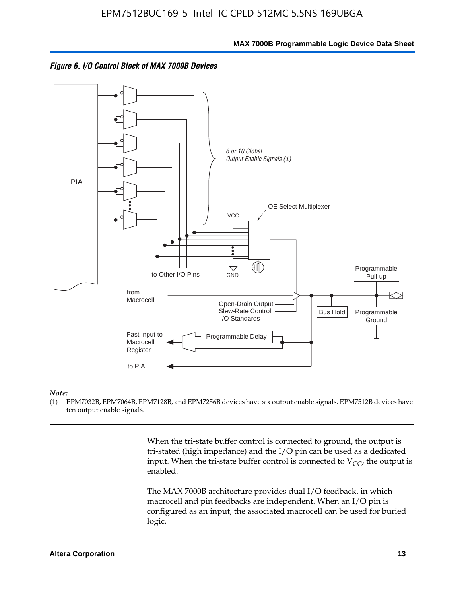



#### *Note:*

(1) EPM7032B, EPM7064B, EPM7128B, and EPM7256B devices have six output enable signals. EPM7512B devices have ten output enable signals.

> When the tri-state buffer control is connected to ground, the output is tri-stated (high impedance) and the I/O pin can be used as a dedicated input. When the tri-state buffer control is connected to  $V_{CC}$ , the output is enabled.

The MAX 7000B architecture provides dual I/O feedback, in which macrocell and pin feedbacks are independent. When an I/O pin is configured as an input, the associated macrocell can be used for buried logic.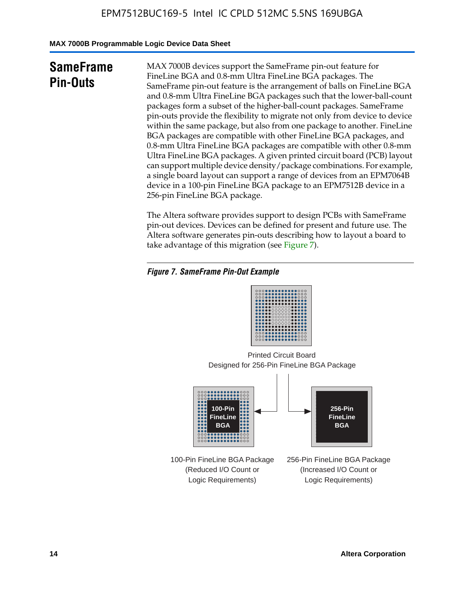**MAX 7000B Programmable Logic Device Data Sheet**

# **SameFrame Pin-Outs**

MAX 7000B devices support the SameFrame pin-out feature for FineLine BGA and 0.8-mm Ultra FineLine BGA packages. The SameFrame pin-out feature is the arrangement of balls on FineLine BGA and 0.8-mm Ultra FineLine BGA packages such that the lower-ball-count packages form a subset of the higher-ball-count packages. SameFrame pin-outs provide the flexibility to migrate not only from device to device within the same package, but also from one package to another. FineLine BGA packages are compatible with other FineLine BGA packages, and 0.8-mm Ultra FineLine BGA packages are compatible with other 0.8-mm Ultra FineLine BGA packages. A given printed circuit board (PCB) layout can support multiple device density/package combinations. For example, a single board layout can support a range of devices from an EPM7064B device in a 100-pin FineLine BGA package to an EPM7512B device in a 256-pin FineLine BGA package.

The Altera software provides support to design PCBs with SameFrame pin-out devices. Devices can be defined for present and future use. The Altera software generates pin-outs describing how to layout a board to take advantage of this migration (see Figure 7).

#### *Figure 7. SameFrame Pin-Out Example*

| 0000000000000000<br>0000000000000000<br>0000000000000000<br><br>                |  |
|---------------------------------------------------------------------------------|--|
| 000000000000000<br><br>000000000000000<br><br>000000000000000<br>               |  |
| <br><b></b><br>000000000000000<br>0000000000000000<br>000 <b>0000000000</b> 000 |  |

Designed for 256-Pin FineLine BGA Package Printed Circuit Board



100-Pin FineLine BGA Package (Reduced I/O Count or Logic Requirements)

256-Pin FineLine BGA Package (Increased I/O Count or Logic Requirements)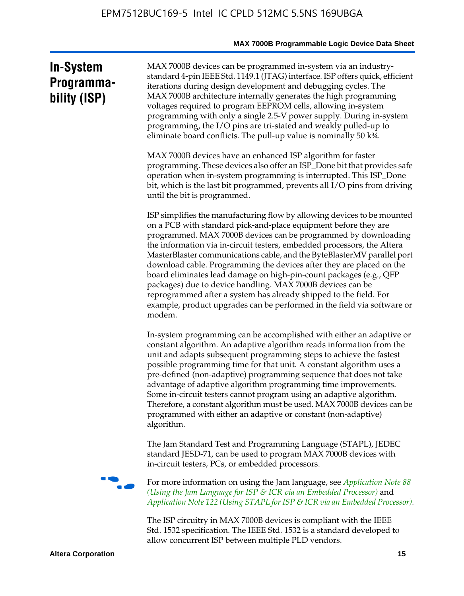# **In-System Programmability (ISP)**

MAX 7000B devices can be programmed in-system via an industrystandard 4-pin IEEE Std. 1149.1 (JTAG) interface. ISP offers quick, efficient iterations during design development and debugging cycles. The MAX 7000B architecture internally generates the high programming voltages required to program EEPROM cells, allowing in-system programming with only a single 2.5-V power supply. During in-system programming, the I/O pins are tri-stated and weakly pulled-up to eliminate board conflicts. The pull-up value is nominally 50 k¾.

MAX 7000B devices have an enhanced ISP algorithm for faster programming. These devices also offer an ISP\_Done bit that provides safe operation when in-system programming is interrupted. This ISP\_Done bit, which is the last bit programmed, prevents all I/O pins from driving until the bit is programmed.

ISP simplifies the manufacturing flow by allowing devices to be mounted on a PCB with standard pick-and-place equipment before they are programmed. MAX 7000B devices can be programmed by downloading the information via in-circuit testers, embedded processors, the Altera MasterBlaster communications cable, and the ByteBlasterMV parallel port download cable. Programming the devices after they are placed on the board eliminates lead damage on high-pin-count packages (e.g., QFP packages) due to device handling. MAX 7000B devices can be reprogrammed after a system has already shipped to the field. For example, product upgrades can be performed in the field via software or modem.

In-system programming can be accomplished with either an adaptive or constant algorithm. An adaptive algorithm reads information from the unit and adapts subsequent programming steps to achieve the fastest possible programming time for that unit. A constant algorithm uses a pre-defined (non-adaptive) programming sequence that does not take advantage of adaptive algorithm programming time improvements. Some in-circuit testers cannot program using an adaptive algorithm. Therefore, a constant algorithm must be used. MAX 7000B devices can be programmed with either an adaptive or constant (non-adaptive) algorithm.

The Jam Standard Test and Programming Language (STAPL), JEDEC standard JESD-71, can be used to program MAX 7000B devices with in-circuit testers, PCs, or embedded processors.



f For more information on using the Jam language, see *Application Note 88 (Using the Jam Language for ISP & ICR via an Embedded Processor)* and *Application Note 122 (Using STAPL for ISP & ICR via an Embedded Processor).*

The ISP circuitry in MAX 7000B devices is compliant with the IEEE Std. 1532 specification. The IEEE Std. 1532 is a standard developed to allow concurrent ISP between multiple PLD vendors.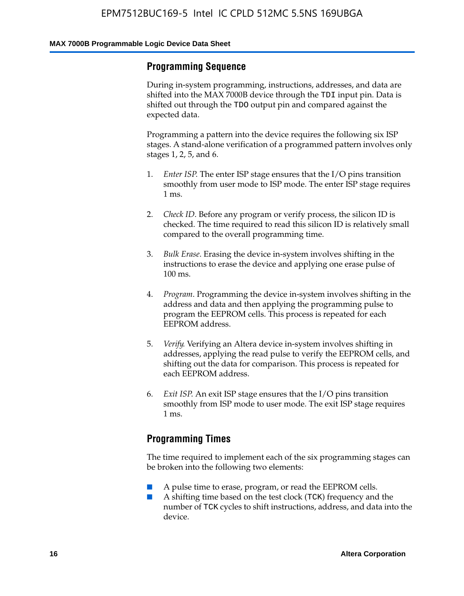### **Programming Sequence**

During in-system programming, instructions, addresses, and data are shifted into the MAX 7000B device through the TDI input pin. Data is shifted out through the TDO output pin and compared against the expected data.

Programming a pattern into the device requires the following six ISP stages. A stand-alone verification of a programmed pattern involves only stages 1, 2, 5, and 6.

- 1. *Enter ISP*. The enter ISP stage ensures that the I/O pins transition smoothly from user mode to ISP mode. The enter ISP stage requires 1 ms.
- 2. *Check ID*. Before any program or verify process, the silicon ID is checked. The time required to read this silicon ID is relatively small compared to the overall programming time.
- 3. *Bulk Erase*. Erasing the device in-system involves shifting in the instructions to erase the device and applying one erase pulse of 100 ms.
- 4. *Program*. Programming the device in-system involves shifting in the address and data and then applying the programming pulse to program the EEPROM cells. This process is repeated for each EEPROM address.
- 5. *Verify*. Verifying an Altera device in-system involves shifting in addresses, applying the read pulse to verify the EEPROM cells, and shifting out the data for comparison. This process is repeated for each EEPROM address.
- 6. *Exit ISP*. An exit ISP stage ensures that the I/O pins transition smoothly from ISP mode to user mode. The exit ISP stage requires 1 ms.

# **Programming Times**

The time required to implement each of the six programming stages can be broken into the following two elements:

- A pulse time to erase, program, or read the EEPROM cells.
- A shifting time based on the test clock (TCK) frequency and the number of TCK cycles to shift instructions, address, and data into the device.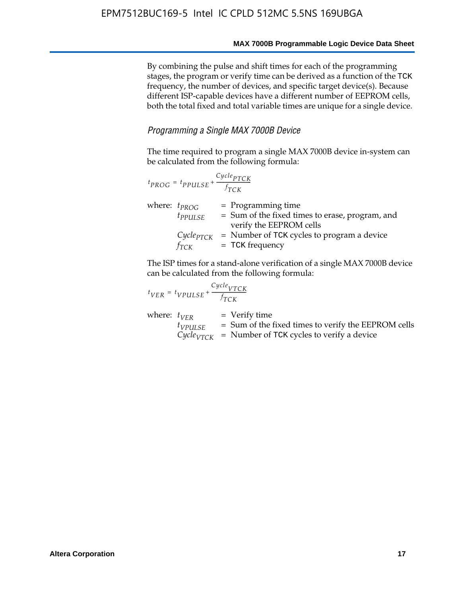By combining the pulse and shift times for each of the programming stages, the program or verify time can be derived as a function of the TCK frequency, the number of devices, and specific target device(s). Because different ISP-capable devices have a different number of EEPROM cells, both the total fixed and total variable times are unique for a single device.

#### *Programming a Single MAX 7000B Device*

The time required to program a single MAX 7000B device in-system can be calculated from the following formula:

| $t_{PROG} = t_{PPULSE} + \frac{Cycle_{PTCK}}{f_{TCK}}$ |                                                                                                    |
|--------------------------------------------------------|----------------------------------------------------------------------------------------------------|
| where: $t_{PROG}$<br>$t_{PPULSE}$                      | $=$ Programming time<br>= Sum of the fixed times to erase, program, and<br>verify the EEPROM cells |
| $Cycle_{PTCK}$<br>fтск                                 | = Number of TCK cycles to program a device<br>$=$ TCK frequency                                    |

The ISP times for a stand-alone verification of a single MAX 7000B device can be calculated from the following formula:

|                  | $t_{VER} = t_{VPULSE} + \frac{t_{TCK}}{f_{TCK}}$ | $Cycle_{VTCK}$                                                                                                                    |
|------------------|--------------------------------------------------|-----------------------------------------------------------------------------------------------------------------------------------|
| where: $t_{VFR}$ | $t_{VPULSE}$                                     | $=$ Verify time<br>$=$ Sum of the fixed times to verify the EEPROM cells<br>$CycleVTCK$ = Number of TCK cycles to verify a device |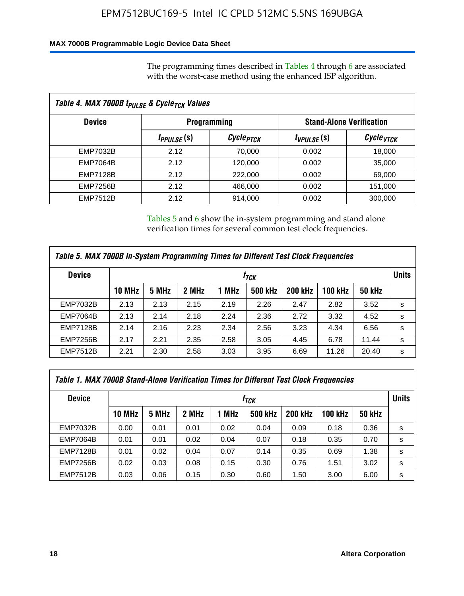### **MAX 7000B Programmable Logic Device Data Sheet**

The programming times described in Tables 4 through 6 are associated with the worst-case method using the enhanced ISP algorithm.

| Table 4. MAX 7000B t <sub>PULSE</sub> & Cycle <sub>TCK</sub> Values |                               |                       |                 |                       |  |                                 |  |
|---------------------------------------------------------------------|-------------------------------|-----------------------|-----------------|-----------------------|--|---------------------------------|--|
| <b>Device</b>                                                       | <b>Programming</b>            |                       |                 |                       |  | <b>Stand-Alone Verification</b> |  |
|                                                                     | <i>t<sub>PPULSE</sub></i> (s) | Cycle <sub>PTCK</sub> | $t_{VPULSE}(s)$ | Cycle <sub>vTCK</sub> |  |                                 |  |
| EMP7032B                                                            | 2.12                          | 70,000                | 0.002           | 18,000                |  |                                 |  |
| <b>EMP7064B</b>                                                     | 2.12                          | 120,000               | 0.002           | 35,000                |  |                                 |  |
| <b>EMP7128B</b>                                                     | 2.12                          | 222,000               | 0.002           | 69,000                |  |                                 |  |
| <b>EMP7256B</b>                                                     | 2.12                          | 466,000               | 0.002           | 151,000               |  |                                 |  |
| <b>EMP7512B</b>                                                     | 2.12                          | 914,000               | 0.002           | 300,000               |  |                                 |  |

Tables 5 and 6 show the in-system programming and stand alone verification times for several common test clock frequencies.

| Table 5. MAX 7000B In-System Programming Times for Different Test Clock Frequencies |        |       |       |       |                |                |                |               |   |
|-------------------------------------------------------------------------------------|--------|-------|-------|-------|----------------|----------------|----------------|---------------|---|
| <b>Device</b>                                                                       | İтск   |       |       |       |                |                |                | <b>Units</b>  |   |
|                                                                                     | 10 MHz | 5 MHz | 2 MHz | 1 MHz | <b>500 kHz</b> | <b>200 kHz</b> | <b>100 kHz</b> | <b>50 kHz</b> |   |
| <b>EMP7032B</b>                                                                     | 2.13   | 2.13  | 2.15  | 2.19  | 2.26           | 2.47           | 2.82           | 3.52          | s |
| <b>EMP7064B</b>                                                                     | 2.13   | 2.14  | 2.18  | 2.24  | 2.36           | 2.72           | 3.32           | 4.52          | s |
| <b>EMP7128B</b>                                                                     | 2.14   | 2.16  | 2.23  | 2.34  | 2.56           | 3.23           | 4.34           | 6.56          | s |
| <b>EMP7256B</b>                                                                     | 2.17   | 2.21  | 2.35  | 2.58  | 3.05           | 4.45           | 6.78           | 11.44         | s |
| <b>EMP7512B</b>                                                                     | 2.21   | 2.30  | 2.58  | 3.03  | 3.95           | 6.69           | 11.26          | 20.40         | s |

| Table 1. MAX 7000B Stand-Alone Verification Times for Different Test Clock Frequencies |                  |       |       |       |                |                |                |               |              |
|----------------------------------------------------------------------------------------|------------------|-------|-------|-------|----------------|----------------|----------------|---------------|--------------|
| <b>Device</b>                                                                          | t <sub>тск</sub> |       |       |       |                |                |                |               | <b>Units</b> |
|                                                                                        | <b>10 MHz</b>    | 5 MHz | 2 MHz | 1 MHz | <b>500 kHz</b> | <b>200 kHz</b> | <b>100 kHz</b> | <b>50 kHz</b> |              |
| <b>EMP7032B</b>                                                                        | 0.00             | 0.01  | 0.01  | 0.02  | 0.04           | 0.09           | 0.18           | 0.36          | s            |
| <b>EMP7064B</b>                                                                        | 0.01             | 0.01  | 0.02  | 0.04  | 0.07           | 0.18           | 0.35           | 0.70          | s            |
| <b>EMP7128B</b>                                                                        | 0.01             | 0.02  | 0.04  | 0.07  | 0.14           | 0.35           | 0.69           | 1.38          | s            |
| <b>EMP7256B</b>                                                                        | 0.02             | 0.03  | 0.08  | 0.15  | 0.30           | 0.76           | 1.51           | 3.02          | s            |
| <b>EMP7512B</b>                                                                        | 0.03             | 0.06  | 0.15  | 0.30  | 0.60           | 1.50           | 3.00           | 6.00          | s            |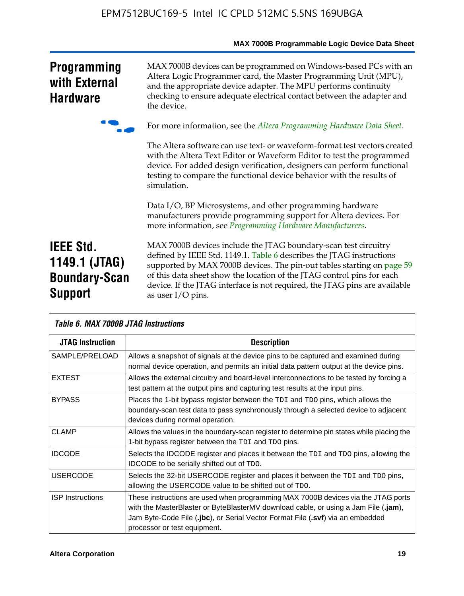|                                                                             | <b>MAX / 000D Programmable Logic Device Data Sheet</b>                                                                                                                                                                                                                                                                                                                                         |
|-----------------------------------------------------------------------------|------------------------------------------------------------------------------------------------------------------------------------------------------------------------------------------------------------------------------------------------------------------------------------------------------------------------------------------------------------------------------------------------|
| <b>Programming</b><br>with External<br><b>Hardware</b>                      | MAX 7000B devices can be programmed on Windows-based PCs with an<br>Altera Logic Programmer card, the Master Programming Unit (MPU),<br>and the appropriate device adapter. The MPU performs continuity<br>checking to ensure adequate electrical contact between the adapter and<br>the device.                                                                                               |
|                                                                             | For more information, see the Altera Programming Hardware Data Sheet.                                                                                                                                                                                                                                                                                                                          |
|                                                                             | The Altera software can use text- or waveform-format test vectors created<br>with the Altera Text Editor or Waveform Editor to test the programmed<br>device. For added design verification, designers can perform functional<br>testing to compare the functional device behavior with the results of<br>simulation.                                                                          |
|                                                                             | Data I/O, BP Microsystems, and other programming hardware<br>manufacturers provide programming support for Altera devices. For<br>more information, see Programming Hardware Manufacturers.                                                                                                                                                                                                    |
| <b>IEEE Std.</b><br>1149.1 (JTAG)<br><b>Boundary-Scan</b><br><b>Support</b> | MAX 7000B devices include the JTAG boundary-scan test circuitry<br>defined by IEEE Std. 1149.1. Table 6 describes the JTAG instructions<br>supported by MAX 7000B devices. The pin-out tables starting on page 59<br>of this data sheet show the location of the JTAG control pins for each<br>device. If the JTAG interface is not required, the JTAG pins are available<br>as user I/O pins. |

| Table 6. MAX 7000B JTAG Instructions |                                                                                                                                                                                                                                                                                            |  |  |  |  |  |
|--------------------------------------|--------------------------------------------------------------------------------------------------------------------------------------------------------------------------------------------------------------------------------------------------------------------------------------------|--|--|--|--|--|
| <b>JTAG Instruction</b>              | <b>Description</b>                                                                                                                                                                                                                                                                         |  |  |  |  |  |
| SAMPLE/PRELOAD                       | Allows a snapshot of signals at the device pins to be captured and examined during<br>normal device operation, and permits an initial data pattern output at the device pins.                                                                                                              |  |  |  |  |  |
| <b>EXTEST</b>                        | Allows the external circuitry and board-level interconnections to be tested by forcing a<br>test pattern at the output pins and capturing test results at the input pins.                                                                                                                  |  |  |  |  |  |
| <b>BYPASS</b>                        | Places the 1-bit bypass register between the TDI and TDO pins, which allows the<br>boundary-scan test data to pass synchronously through a selected device to adjacent<br>devices during normal operation.                                                                                 |  |  |  |  |  |
| <b>CLAMP</b>                         | Allows the values in the boundary-scan register to determine pin states while placing the<br>1-bit bypass register between the TDI and TDO pins.                                                                                                                                           |  |  |  |  |  |
| <b>IDCODE</b>                        | Selects the IDCODE register and places it between the TDI and TDO pins, allowing the<br>IDCODE to be serially shifted out of TDO.                                                                                                                                                          |  |  |  |  |  |
| <b>USERCODE</b>                      | Selects the 32-bit USERCODE register and places it between the TDI and TDO pins,<br>allowing the USERCODE value to be shifted out of TDO.                                                                                                                                                  |  |  |  |  |  |
| <b>ISP</b> Instructions              | These instructions are used when programming MAX 7000B devices via the JTAG ports<br>with the MasterBlaster or ByteBlasterMV download cable, or using a Jam File (.jam),<br>Jam Byte-Code File (.jbc), or Serial Vector Format File (.svf) via an embedded<br>processor or test equipment. |  |  |  |  |  |

# **MAX 7000B Programmable Logic Device Data Sheet**

⅂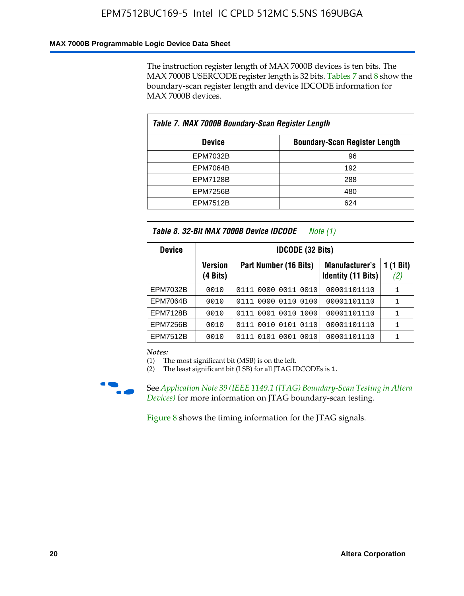#### **MAX 7000B Programmable Logic Device Data Sheet**

The instruction register length of MAX 7000B devices is ten bits. The MAX 7000B USERCODE register length is 32 bits. Tables 7 and 8 show the boundary-scan register length and device IDCODE information for MAX 7000B devices.

| Table 7. MAX 7000B Boundary-Scan Register Length |                                      |  |  |  |
|--------------------------------------------------|--------------------------------------|--|--|--|
| <b>Device</b>                                    | <b>Boundary-Scan Register Length</b> |  |  |  |
| EPM7032B                                         | 96                                   |  |  |  |
| <b>EPM7064B</b>                                  | 192                                  |  |  |  |
| <b>EPM7128B</b>                                  | 288                                  |  |  |  |
| <b>EPM7256B</b>                                  | 480                                  |  |  |  |
| <b>EPM7512B</b>                                  | 624                                  |  |  |  |

| Table 8. 32-Bit MAX 7000B Device IDCODE<br>Note (1) |                            |                           |                                             |                          |  |
|-----------------------------------------------------|----------------------------|---------------------------|---------------------------------------------|--------------------------|--|
| <b>Device</b>                                       | <b>IDCODE (32 Bits)</b>    |                           |                                             |                          |  |
|                                                     | <b>Version</b><br>(4 Bits) | Part Number (16 Bits)     | Manufacturer's<br><b>Identity (11 Bits)</b> | $(1 \text{ Bit})$<br>(2) |  |
| EPM7032B                                            | 0010                       | 0111 0000 0011 0010       | 00001101110                                 | 1                        |  |
| <b>EPM7064B</b>                                     | 0010                       | 0111 0000 0110 0100       | 00001101110                                 | 1                        |  |
| <b>EPM7128B</b>                                     | 0010                       | 0001 0010 1000<br>0111    | 00001101110                                 | 1                        |  |
| <b>EPM7256B</b>                                     | 0010                       | 0111 0010 0101 0110       | 00001101110                                 | 1                        |  |
| <b>EPM7512B</b>                                     | 0010                       | 0010<br>0111 0101<br>0001 | 00001101110                                 | 1                        |  |

*Notes:*

(1) The most significant bit (MSB) is on the left.

(2) The least significant bit (LSB) for all JTAG IDCODEs is 1.



f See *Application Note 39 (IEEE 1149.1 (JTAG) Boundary-Scan Testing in Altera Devices)* for more information on JTAG boundary-scan testing.

Figure 8 shows the timing information for the JTAG signals.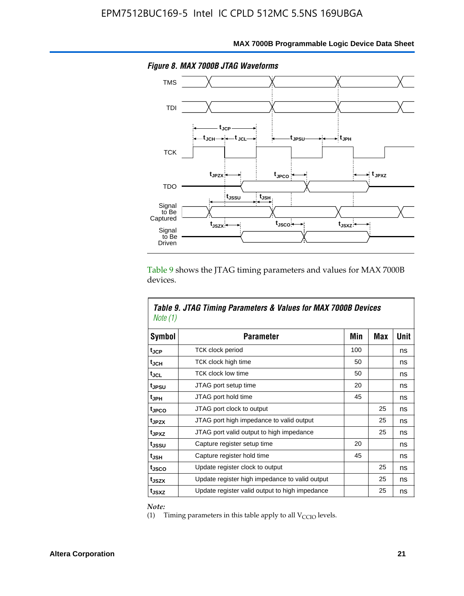

Table 9 shows the JTAG timing parameters and values for MAX 7000B devices.

| Note (1)          | Table 9. JTAG Timing Parameters & Values for MAX 7000B Devices |     |            |      |
|-------------------|----------------------------------------------------------------|-----|------------|------|
| Symbol            | <b>Parameter</b>                                               | Min | <b>Max</b> | Unit |
| tjcp              | TCK clock period                                               | 100 |            | ns   |
| t <sub>JCH</sub>  | TCK clock high time                                            | 50  |            | ns   |
| tjcl              | <b>TCK clock low time</b>                                      | 50  |            | ns   |
| tjesu             | JTAG port setup time                                           | 20  |            | ns   |
| t <sub>JPH</sub>  | JTAG port hold time                                            | 45  |            | ns   |
| tjpco             | JTAG port clock to output                                      |     | 25         | ns   |
| t <sub>JPZX</sub> | JTAG port high impedance to valid output                       |     | 25         | ns   |
| t <sub>JPXZ</sub> | JTAG port valid output to high impedance                       |     | 25         | ns   |
| tussu             | Capture register setup time                                    | 20  |            | ns   |
| tjsh              | Capture register hold time                                     | 45  |            | ns   |
| t <sub>JSCO</sub> | Update register clock to output                                |     | 25         | ns   |
| t <sub>JSZX</sub> | Update register high impedance to valid output                 |     | 25         | ns   |
| t <sub>JSXZ</sub> | Update register valid output to high impedance                 |     | 25         | ns   |

*Note:*

Г

(1) Timing parameters in this table apply to all  $V_{\text{CCIO}}$  levels.

٦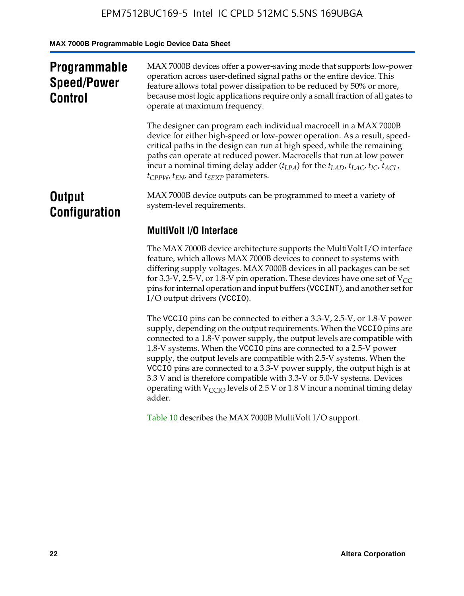**MAX 7000B Programmable Logic Device Data Sheet**

| <b>Programmable</b><br><b>Speed/Power</b><br><b>Control</b> | MAX 7000B devices offer a power-saving mode that supports low-power<br>operation across user-defined signal paths or the entire device. This<br>feature allows total power dissipation to be reduced by 50% or more,<br>because most logic applications require only a small fraction of all gates to<br>operate at maximum frequency.                                                                                                                          |
|-------------------------------------------------------------|-----------------------------------------------------------------------------------------------------------------------------------------------------------------------------------------------------------------------------------------------------------------------------------------------------------------------------------------------------------------------------------------------------------------------------------------------------------------|
|                                                             | The designer can program each individual macrocell in a MAX 7000B<br>device for either high-speed or low-power operation. As a result, speed-<br>critical paths in the design can run at high speed, while the remaining<br>paths can operate at reduced power. Macrocells that run at low power<br>incur a nominal timing delay adder $(t_{LPA})$ for the $t_{LAD}$ , $t_{LAC}$ , $t_{IC}$ , $t_{ACL}$ ,<br>$t_{CPPW}$ , $t_{EN}$ , and $t_{SEXP}$ parameters. |
| <b>Output</b><br><b>Configuration</b>                       | MAX 7000B device outputs can be programmed to meet a variety of<br>system-level requirements.                                                                                                                                                                                                                                                                                                                                                                   |
|                                                             | <b>MultiVolt I/O Interface</b>                                                                                                                                                                                                                                                                                                                                                                                                                                  |
|                                                             | The MAX 7000B device architecture supports the MultiVolt I/O interface<br>feature, which allows MAX 7000B devices to connect to systems with<br>differing supply voltages. MAX 7000B devices in all packages can be set<br>for 3.3-V, 2.5-V, or 1.8-V pin operation. These devices have one set of $V_{CC}$<br>pins for internal operation and input buffers (VCCINT), and another set for<br>I/O output drivers (VCCIO).                                       |

The VCCIO pins can be connected to either a 3.3-V, 2.5-V, or 1.8-V power supply, depending on the output requirements. When the VCCIO pins are connected to a 1.8-V power supply, the output levels are compatible with 1.8-V systems. When the VCCIO pins are connected to a 2.5- $\hat{V}$  power supply, the output levels are compatible with 2.5-V systems. When the VCCIO pins are connected to a 3.3-V power supply, the output high is at 3.3 V and is therefore compatible with 3.3-V or 5.0-V systems. Devices operating with  $V_{\text{CCIO}}$  levels of 2.5 V or 1.8 V incur a nominal timing delay adder.

Table 10 describes the MAX 7000B MultiVolt I/O support.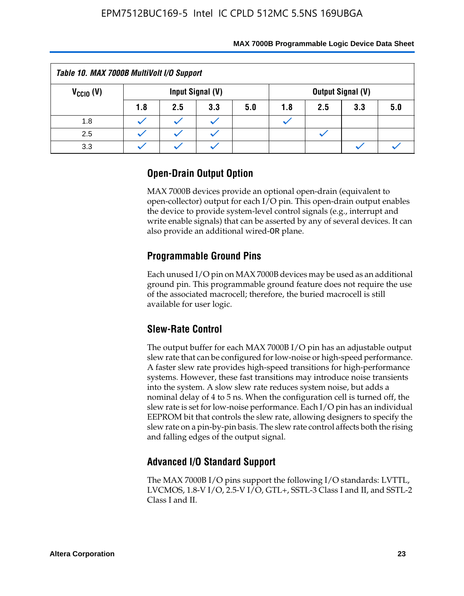| Table 10. MAX 7000B MultiVolt I/O Support |     |     |                  |     |     |     |                          |     |
|-------------------------------------------|-----|-----|------------------|-----|-----|-----|--------------------------|-----|
| $V_{\text{CCIO}}(V)$                      |     |     | Input Signal (V) |     |     |     | <b>Output Signal (V)</b> |     |
|                                           | 1.8 | 2.5 | 3.3              | 5.0 | 1.8 | 2.5 | 3.3                      | 5.0 |
| 1.8                                       |     |     |                  |     |     |     |                          |     |
| 2.5                                       |     |     |                  |     |     |     |                          |     |
| 3.3                                       |     |     |                  |     |     |     |                          |     |

# **Open-Drain Output Option**

MAX 7000B devices provide an optional open-drain (equivalent to open-collector) output for each I/O pin. This open-drain output enables the device to provide system-level control signals (e.g., interrupt and write enable signals) that can be asserted by any of several devices. It can also provide an additional wired-OR plane.

# **Programmable Ground Pins**

Each unused I/O pin on MAX 7000B devices may be used as an additional ground pin. This programmable ground feature does not require the use of the associated macrocell; therefore, the buried macrocell is still available for user logic.

# **Slew-Rate Control**

The output buffer for each MAX 7000B I/O pin has an adjustable output slew rate that can be configured for low-noise or high-speed performance. A faster slew rate provides high-speed transitions for high-performance systems. However, these fast transitions may introduce noise transients into the system. A slow slew rate reduces system noise, but adds a nominal delay of 4 to 5 ns. When the configuration cell is turned off, the slew rate is set for low-noise performance. Each I/O pin has an individual EEPROM bit that controls the slew rate, allowing designers to specify the slew rate on a pin-by-pin basis. The slew rate control affects both the rising and falling edges of the output signal.

# **Advanced I/O Standard Support**

The MAX 7000B I/O pins support the following I/O standards: LVTTL, LVCMOS, 1.8-V I/O, 2.5-V I/O, GTL+, SSTL-3 Class I and II, and SSTL-2 Class I and II.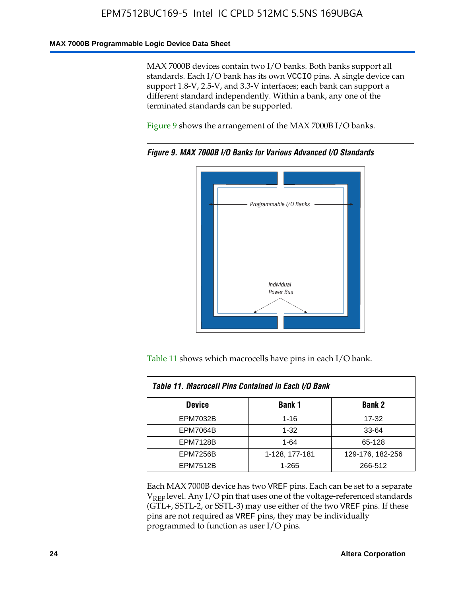#### **MAX 7000B Programmable Logic Device Data Sheet**

MAX 7000B devices contain two I/O banks. Both banks support all standards. Each I/O bank has its own VCCIO pins. A single device can support 1.8-V, 2.5-V, and 3.3-V interfaces; each bank can support a different standard independently. Within a bank, any one of the terminated standards can be supported.

Figure 9 shows the arrangement of the MAX 7000B I/O banks.



*Figure 9. MAX 7000B I/O Banks for Various Advanced I/O Standards*

Table 11 shows which macrocells have pins in each I/O bank.

| Table 11. Macrocell Pins Contained in Each I/O Bank |                |                  |  |  |
|-----------------------------------------------------|----------------|------------------|--|--|
| <b>Device</b>                                       | <b>Bank 1</b>  | <b>Bank 2</b>    |  |  |
| <b>EPM7032B</b>                                     | $1 - 16$       | 17-32            |  |  |
| <b>EPM7064B</b>                                     | $1 - 32$       | 33-64            |  |  |
| <b>EPM7128B</b>                                     | $1 - 64$       | 65-128           |  |  |
| <b>EPM7256B</b>                                     | 1-128, 177-181 | 129-176, 182-256 |  |  |
| <b>EPM7512B</b>                                     | 1-265          | 266-512          |  |  |

Each MAX 7000B device has two VREF pins. Each can be set to a separate  $V_{REF}$  level. Any I/O pin that uses one of the voltage-referenced standards (GTL+, SSTL-2, or SSTL-3) may use either of the two VREF pins. If these pins are not required as VREF pins, they may be individually programmed to function as user I/O pins.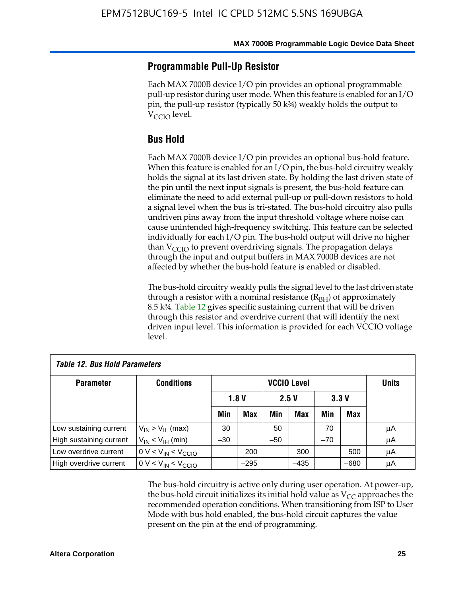### **Programmable Pull-Up Resistor**

Each MAX 7000B device I/O pin provides an optional programmable pull-up resistor during user mode. When this feature is enabled for an I/O pin, the pull-up resistor (typically 50 k¾) weakly holds the output to  $V_{\text{CCIO}}$  level.

### **Bus Hold**

Each MAX 7000B device I/O pin provides an optional bus-hold feature. When this feature is enabled for an I/O pin, the bus-hold circuitry weakly holds the signal at its last driven state. By holding the last driven state of the pin until the next input signals is present, the bus-hold feature can eliminate the need to add external pull-up or pull-down resistors to hold a signal level when the bus is tri-stated. The bus-hold circuitry also pulls undriven pins away from the input threshold voltage where noise can cause unintended high-frequency switching. This feature can be selected individually for each I/O pin. The bus-hold output will drive no higher than  $V_{\text{C}CD}$  to prevent overdriving signals. The propagation delays through the input and output buffers in MAX 7000B devices are not affected by whether the bus-hold feature is enabled or disabled.

The bus-hold circuitry weakly pulls the signal level to the last driven state through a resistor with a nominal resistance  $(R<sub>BH</sub>)$  of approximately 8.5 k¾. Table 12 gives specific sustaining current that will be driven through this resistor and overdrive current that will identify the next driven input level. This information is provided for each VCCIO voltage level.

| <b>Table 12. Bus Hold Parameters</b> |                           |       |                    |       |            |       |            |              |
|--------------------------------------|---------------------------|-------|--------------------|-------|------------|-------|------------|--------------|
| <b>Parameter</b>                     | <b>Conditions</b>         |       | <b>VCCIO Level</b> |       |            |       |            | <b>Units</b> |
|                                      |                           |       | 1.8V               |       | 2.5V       |       | 3.3V       |              |
|                                      |                           | Min   | <b>Max</b>         | Min   | <b>Max</b> | Min   | <b>Max</b> |              |
| Low sustaining current               | $V_{IN}$ > $V_{II}$ (max) | 30    |                    | 50    |            | 70    |            | μA           |
| High sustaining current              | $V_{IN}$ < $V_{IH}$ (min) | $-30$ |                    | $-50$ |            | $-70$ |            | μA           |
| Low overdrive current                | $0 V < V_{IN} < V_{CCIO}$ |       | 200                |       | 300        |       | 500        | μA           |
| High overdrive current               | $0 V < V_{IN} < V_{CCIO}$ |       | $-295$             |       | $-435$     |       | $-680$     | μA           |

The bus-hold circuitry is active only during user operation. At power-up, the bus-hold circuit initializes its initial hold value as  $V_{CC}$  approaches the recommended operation conditions. When transitioning from ISP to User Mode with bus hold enabled, the bus-hold circuit captures the value present on the pin at the end of programming.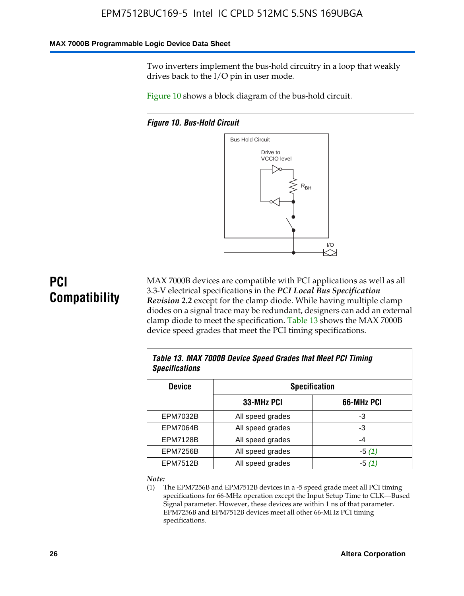#### **MAX 7000B Programmable Logic Device Data Sheet**

Two inverters implement the bus-hold circuitry in a loop that weakly drives back to the I/O pin in user mode.

Figure 10 shows a block diagram of the bus-hold circuit.

*Figure 10. Bus-Hold Circuit*



# **PCI Compatibility**

MAX 7000B devices are compatible with PCI applications as well as all 3.3-V electrical specifications in the *PCI Local Bus Specification Revision 2.2* except for the clamp diode. While having multiple clamp diodes on a signal trace may be redundant, designers can add an external clamp diode to meet the specification. Table 13 shows the MAX 7000B device speed grades that meet the PCI timing specifications.

| Table 13. MAX 7000B Device Speed Grades that Meet PCI Timing<br><b>Specifications</b> |                  |            |  |  |
|---------------------------------------------------------------------------------------|------------------|------------|--|--|
| <b>Device</b><br><b>Specification</b>                                                 |                  |            |  |  |
|                                                                                       | 33-MHz PCI       | 66-MHz PCI |  |  |
| <b>EPM7032B</b>                                                                       | All speed grades | -3         |  |  |
| <b>EPM7064B</b>                                                                       | All speed grades | -3         |  |  |
| <b>EPM7128B</b>                                                                       | All speed grades | -4         |  |  |
| <b>EPM7256B</b>                                                                       | All speed grades | $-5(1)$    |  |  |
| <b>EPM7512B</b>                                                                       | All speed grades | -5 (1)     |  |  |

#### *Note:*

(1) The EPM7256B and EPM7512B devices in a -5 speed grade meet all PCI timing specifications for 66-MHz operation except the Input Setup Time to CLK—Bused Signal parameter. However, these devices are within 1 ns of that parameter. EPM7256B and EPM7512B devices meet all other 66-MHz PCI timing specifications.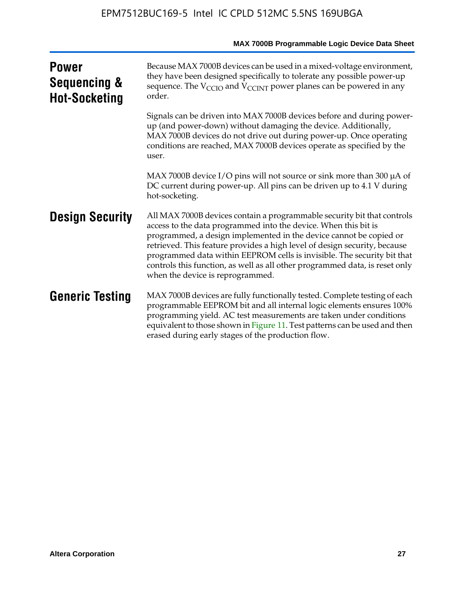|                                                      | MAX 7000B Programmable Logic Device Data Sheet                                                                                                                                                                                                                                                                                                                                                                                                                                              |
|------------------------------------------------------|---------------------------------------------------------------------------------------------------------------------------------------------------------------------------------------------------------------------------------------------------------------------------------------------------------------------------------------------------------------------------------------------------------------------------------------------------------------------------------------------|
| <b>Power</b><br>Sequencing &<br><b>Hot-Socketing</b> | Because MAX 7000B devices can be used in a mixed-voltage environment,<br>they have been designed specifically to tolerate any possible power-up<br>sequence. The $V_{\text{CCIO}}$ and $V_{\text{CCINT}}$ power planes can be powered in any<br>order.                                                                                                                                                                                                                                      |
|                                                      | Signals can be driven into MAX 7000B devices before and during power-<br>up (and power-down) without damaging the device. Additionally,<br>MAX 7000B devices do not drive out during power-up. Once operating<br>conditions are reached, MAX 7000B devices operate as specified by the<br>user.                                                                                                                                                                                             |
|                                                      | MAX 7000B device I/O pins will not source or sink more than 300 $\mu$ A of<br>DC current during power-up. All pins can be driven up to 4.1 V during<br>hot-socketing.                                                                                                                                                                                                                                                                                                                       |
| <b>Design Security</b>                               | All MAX 7000B devices contain a programmable security bit that controls<br>access to the data programmed into the device. When this bit is<br>programmed, a design implemented in the device cannot be copied or<br>retrieved. This feature provides a high level of design security, because<br>programmed data within EEPROM cells is invisible. The security bit that<br>controls this function, as well as all other programmed data, is reset only<br>when the device is reprogrammed. |
| <b>Generic Testing</b>                               | MAX 7000B devices are fully functionally tested. Complete testing of each<br>programmable EEPROM bit and all internal logic elements ensures 100%<br>programming yield. AC test measurements are taken under conditions<br>equivalent to those shown in Figure 11. Test patterns can be used and then<br>erased during early stages of the production flow.                                                                                                                                 |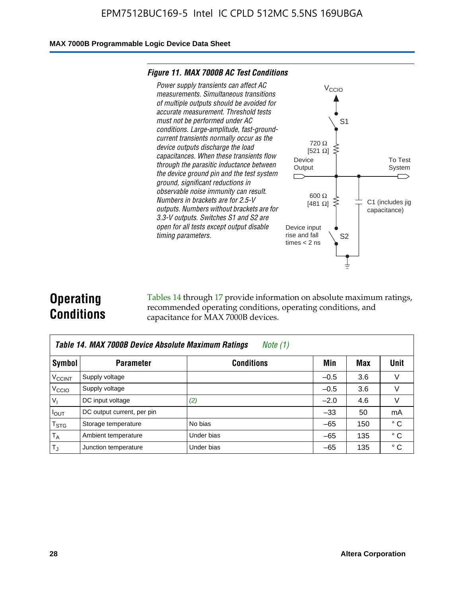#### **MAX 7000B Programmable Logic Device Data Sheet**

#### *Figure 11. MAX 7000B AC Test Conditions*



# **Operating Conditions**

Tables 14 through 17 provide information on absolute maximum ratings, recommended operating conditions, operating conditions, and capacitance for MAX 7000B devices.

|                          | Table 14. MAX 7000B Device Absolute Maximum Ratings<br>Note $(1)$ |                   |        |     |              |  |  |
|--------------------------|-------------------------------------------------------------------|-------------------|--------|-----|--------------|--|--|
| Symbol                   | <b>Parameter</b>                                                  | <b>Conditions</b> | Min    | Max | Unit         |  |  |
| <b>V<sub>CCINT</sub></b> | Supply voltage                                                    |                   | $-0.5$ | 3.6 | v            |  |  |
| V <sub>CCIO</sub>        | Supply voltage                                                    |                   | $-0.5$ | 3.6 | $\vee$       |  |  |
| $V_1$                    | DC input voltage                                                  | (2)               | $-2.0$ | 4.6 | V            |  |  |
| $I_{OUT}$                | DC output current, per pin                                        |                   | $-33$  | 50  | mA           |  |  |
| $T_{STG}$                | Storage temperature                                               | No bias           | $-65$  | 150 | $^{\circ}$ C |  |  |
| $T_A$                    | Ambient temperature                                               | Under bias        | $-65$  | 135 | $^{\circ}$ C |  |  |
| $T_{\text{J}}$           | Junction temperature                                              | Under bias        | $-65$  | 135 | ° C          |  |  |

To Test System

 $\overline{\phantom{a}}$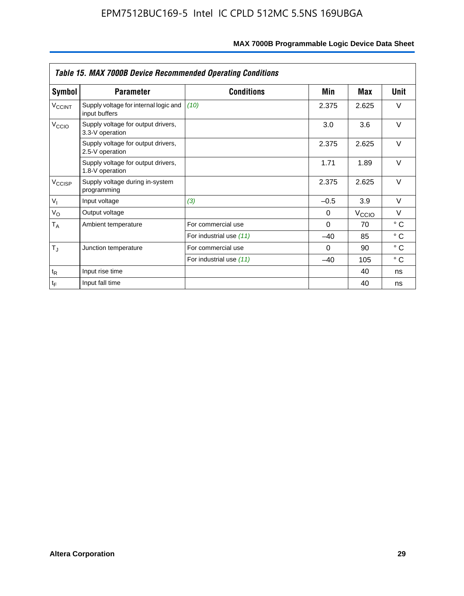|                    | <b>Table 15. MAX 7000B Device Recommended Operating Conditions</b> |                         |          |                   |              |  |  |
|--------------------|--------------------------------------------------------------------|-------------------------|----------|-------------------|--------------|--|--|
| Symbol             | <b>Parameter</b>                                                   | <b>Conditions</b>       | Min      | Max               | Unit         |  |  |
| $V_{\text{CCINT}}$ | Supply voltage for internal logic and<br>input buffers             | (10)                    | 2.375    | 2.625             | $\vee$       |  |  |
| V <sub>CCIO</sub>  | Supply voltage for output drivers,<br>3.3-V operation              |                         | 3.0      | 3.6               | $\vee$       |  |  |
|                    | Supply voltage for output drivers,<br>2.5-V operation              |                         | 2.375    | 2.625             | $\vee$       |  |  |
|                    | Supply voltage for output drivers,<br>1.8-V operation              |                         | 1.71     | 1.89              | $\vee$       |  |  |
| $V_{\text{CCISP}}$ | Supply voltage during in-system<br>programming                     |                         | 2.375    | 2.625             | $\vee$       |  |  |
| $V_{I}$            | Input voltage                                                      | (3)                     | $-0.5$   | 3.9               | $\vee$       |  |  |
| $V_{\rm O}$        | Output voltage                                                     |                         | 0        | $V_{\text{CCIO}}$ | $\vee$       |  |  |
| $T_A$              | Ambient temperature                                                | For commercial use      | $\Omega$ | 70                | $^{\circ}$ C |  |  |
|                    |                                                                    | For industrial use (11) | $-40$    | 85                | $^{\circ}$ C |  |  |
| $T_J$              | Junction temperature                                               | For commercial use      | $\Omega$ | 90                | $^{\circ}$ C |  |  |
|                    |                                                                    | For industrial use (11) | $-40$    | 105               | °C           |  |  |
| $t_{R}$            | Input rise time                                                    |                         |          | 40                | ns           |  |  |
| $t_F$              | Input fall time                                                    |                         |          | 40                | ns           |  |  |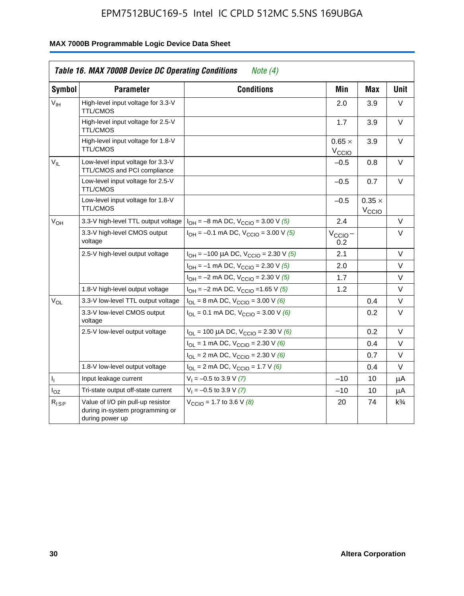|                 | <b>Table 16. MAX 7000B Device DC Operating Conditions</b>                               | Note $(4)$                                                                        |                                    |                                    |                |
|-----------------|-----------------------------------------------------------------------------------------|-----------------------------------------------------------------------------------|------------------------------------|------------------------------------|----------------|
| <b>Symbol</b>   | <b>Parameter</b>                                                                        | <b>Conditions</b>                                                                 | Min                                | <b>Max</b>                         | <b>Unit</b>    |
| $V_{\text{IH}}$ | High-level input voltage for 3.3-V<br><b>TTL/CMOS</b>                                   |                                                                                   | 2.0                                | 3.9                                | V              |
|                 | High-level input voltage for 2.5-V<br><b>TTL/CMOS</b>                                   |                                                                                   | 1.7                                | 3.9                                | V              |
|                 | High-level input voltage for 1.8-V<br><b>TTL/CMOS</b>                                   |                                                                                   | $0.65 \times$<br>$V_{\text{CCIQ}}$ | 3.9                                | $\vee$         |
| $V_{\rm H}$     | Low-level input voltage for 3.3-V<br>TTL/CMOS and PCI compliance                        |                                                                                   | $-0.5$                             | 0.8                                | V              |
|                 | Low-level input voltage for 2.5-V<br><b>TTL/CMOS</b>                                    |                                                                                   | $-0.5$                             | 0.7                                | V              |
|                 | Low-level input voltage for 1.8-V<br><b>TTL/CMOS</b>                                    |                                                                                   | $-0.5$                             | $0.35 \times$<br>V <sub>CCIO</sub> |                |
| $V_{OH}$        | 3.3-V high-level TTL output voltage                                                     | $I_{OH} = -8$ mA DC, $V_{CCIO} = 3.00$ V (5)                                      | 2.4                                |                                    | V              |
|                 | 3.3-V high-level CMOS output<br>voltage                                                 | $I_{OH} = -0.1$ mA DC, $V_{CCIO} = 3.00$ V (5)                                    | $V_{\text{CCIO}}-$<br>0.2          |                                    | $\vee$         |
|                 | 2.5-V high-level output voltage                                                         | $I_{OH}$ = -100 µA DC, $V_{CClO}$ = 2.30 V (5)                                    | 2.1                                |                                    | $\vee$         |
|                 |                                                                                         | $I_{OH} = -1$ mA DC, $V_{CClO} = 2.30$ V (5)                                      | 2.0                                |                                    | V              |
|                 |                                                                                         | $I_{OH} = -2$ mA DC, $V_{CCIO} = 2.30$ V (5)                                      | 1.7                                |                                    | V              |
|                 | 1.8-V high-level output voltage                                                         | $I_{OH} = -2$ mA DC, $V_{CCIO} = 1.65$ V (5)                                      | 1.2                                |                                    | V              |
| $V_{OL}$        | 3.3-V low-level TTL output voltage                                                      | $I_{OL}$ = 8 mA DC, $V_{CCIO}$ = 3.00 V (6)                                       |                                    | 0.4                                | V              |
|                 | 3.3-V low-level CMOS output<br>voltage                                                  | $I_{\text{OI}} = 0.1 \text{ mA DC}$ , $V_{\text{CCl}\Omega} = 3.00 \text{ V}$ (6) |                                    | 0.2                                | $\vee$         |
|                 | 2.5-V low-level output voltage                                                          | $I_{OL}$ = 100 µA DC, $V_{CClO}$ = 2.30 V (6)                                     |                                    | 0.2                                | V              |
|                 |                                                                                         | $I_{OL}$ = 1 mA DC, $V_{CCIO}$ = 2.30 V (6)                                       |                                    | 0.4                                | V              |
|                 |                                                                                         | $I_{OL}$ = 2 mA DC, $V_{CCIO}$ = 2.30 V (6)                                       |                                    | 0.7                                | V              |
|                 | 1.8-V low-level output voltage                                                          | $I_{OL}$ = 2 mA DC, $V_{CCIO}$ = 1.7 V (6)                                        |                                    | 0.4                                | $\vee$         |
| 4               | Input leakage current                                                                   | $V_1 = -0.5$ to 3.9 V (7)                                                         | $-10$                              | 10                                 | μA             |
| $I_{OZ}$        | Tri-state output off-state current                                                      | $V_1 = -0.5$ to 3.9 V (7)                                                         | $-10$                              | 10                                 | μA             |
| $R_{ISP}$       | Value of I/O pin pull-up resistor<br>during in-system programming or<br>during power up | $V_{\text{CCIO}} = 1.7$ to 3.6 V (8)                                              | 20                                 | 74                                 | $k\frac{3}{4}$ |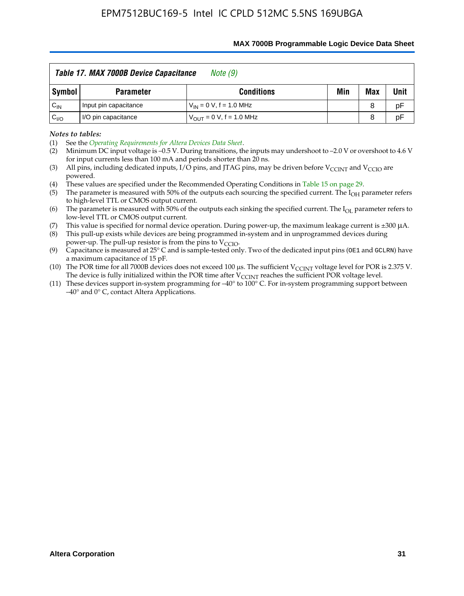|                   | Table 17. MAX 7000B Device Capacitance | Note (9)                      |     |     |      |
|-------------------|----------------------------------------|-------------------------------|-----|-----|------|
| Symbol            | <b>Parameter</b>                       | <b>Conditions</b>             | Min | Max | Unit |
| $C_{\mathsf{IN}}$ | Input pin capacitance                  | $V_{IN} = 0 V$ , f = 1.0 MHz  |     | 8   | pF   |
| $C_{\text{IO}}$   | I/O pin capacitance                    | $V_{OUIT} = 0 V, f = 1.0 MHz$ |     | 8   | pF   |

#### **MAX 7000B Programmable Logic Device Data Sheet**

*Notes to tables:*

(3) All pins, including dedicated inputs, I/O pins, and JTAG pins, may be driven before V<sub>CCINT</sub> and V<sub>CCIO</sub> are powered.

(4) These values are specified under the Recommended Operating Conditions in Table 15 on page 29.

(5) The parameter is measured with 50% of the outputs each sourcing the specified current. The  $I_{OH}$  parameter refers to high-level TTL or CMOS output current.

(6) The parameter is measured with 50% of the outputs each sinking the specified current. The  $I_{OL}$  parameter refers to low-level TTL or CMOS output current.

This value is specified for normal device operation. During power-up, the maximum leakage current is  $\pm 300$   $\mu$ A. (7) This value is specified for normal device operation. During power-up, the maximum leakage current is  $\pm 3$  (8) This pull-up exists while devices are being programmed in-system and in unprogrammed devices during

power-up. The pull-up resistor is from the pins to  $V_{\text{CCIO}}$ .

(9) Capacitance is measured at 25° C and is sample-tested only. Two of the dedicated input pins (OE1 and GCLRN) have a maximum capacitance of 15 pF.

(10) The POR time for all 7000B devices does not exceed 100 μs. The sufficient  $V_{\text{CCINT}}$  voltage level for POR is 2.375 V.

The device is fully initialized within the POR time after  $V_{\text{CCINT}}$  reaches the sufficient POR voltage level.<br>(11) These devices support in-system programming for  $-40^{\circ}$  to 100° C. For in-system programming support be –40° and 0° C, contact Altera Applications.

<sup>(1)</sup> See the *Operating Requirements for Altera Devices Data Sheet*.

<sup>(2)</sup> Minimum DC input voltage is –0.5 V. During transitions, the inputs may undershoot to –2.0 V or overshoot to 4.6 V for input currents less than 100 mA and periods shorter than 20 ns.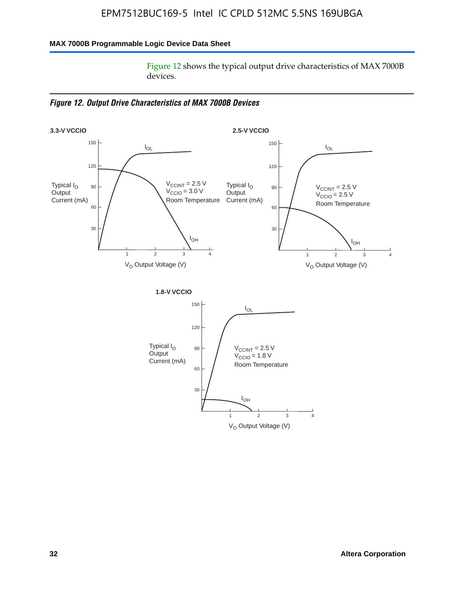### **MAX 7000B Programmable Logic Device Data Sheet**

Figure 12 shows the typical output drive characteristics of MAX 7000B devices.

*Figure 12. Output Drive Characteristics of MAX 7000B Devices*

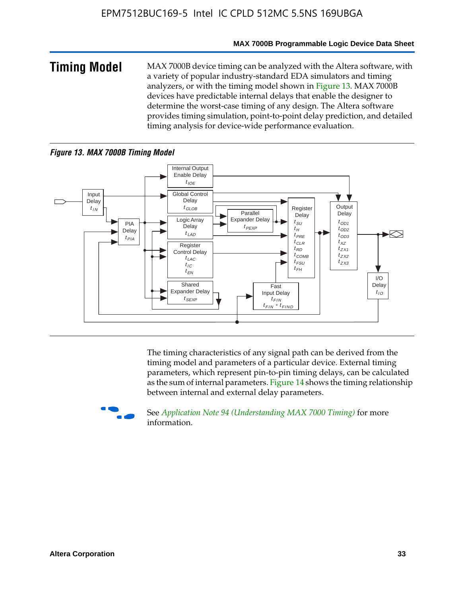#### **MAX 7000B Programmable Logic Device Data Sheet**

**Timing Model** MAX 7000B device timing can be analyzed with the Altera software, with a variety of popular industry-standard EDA simulators and timing analyzers, or with the timing model shown in Figure 13. MAX 7000B devices have predictable internal delays that enable the designer to determine the worst-case timing of any design. The Altera software provides timing simulation, point-to-point delay prediction, and detailed timing analysis for device-wide performance evaluation.

#### *Figure 13. MAX 7000B Timing Model*



The timing characteristics of any signal path can be derived from the timing model and parameters of a particular device. External timing parameters, which represent pin-to-pin timing delays, can be calculated as the sum of internal parameters. Figure 14 shows the timing relationship between internal and external delay parameters.



f See *Application Note 94 (Understanding MAX 7000 Timing)* for more information.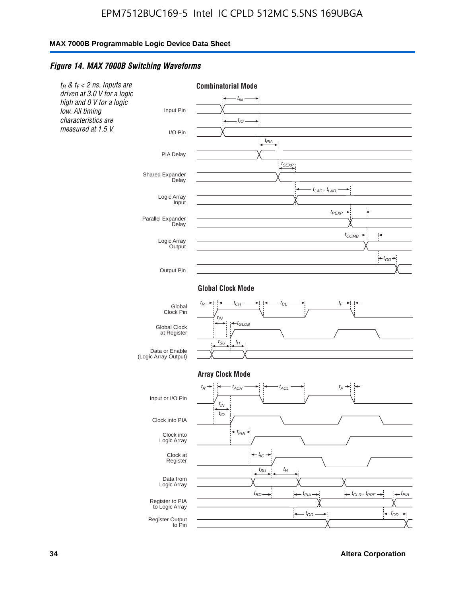#### *Figure 14. MAX 7000B Switching Waveforms*



**34 Altera Corporation**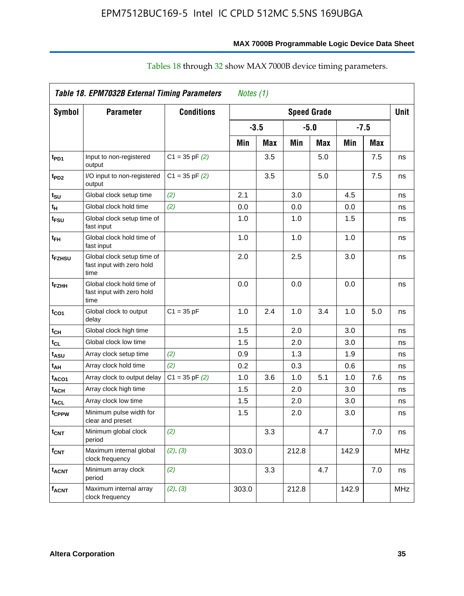|                          | <b>Table 18. EPM7032B External Timing Parameters</b>            |                    | Notes (1) |            |                    |     |        |            |             |
|--------------------------|-----------------------------------------------------------------|--------------------|-----------|------------|--------------------|-----|--------|------------|-------------|
| <b>Symbol</b>            | <b>Parameter</b>                                                | <b>Conditions</b>  |           |            | <b>Speed Grade</b> |     |        |            | <b>Unit</b> |
|                          |                                                                 |                    | $-3.5$    |            | $-5.0$             |     | $-7.5$ |            |             |
|                          |                                                                 |                    | Min       | <b>Max</b> | Min                | Max | Min    | <b>Max</b> |             |
| t <sub>PD1</sub>         | Input to non-registered<br>output                               | $C1 = 35$ pF $(2)$ |           | 3.5        |                    | 5.0 |        | 7.5        | ns          |
| t <sub>PD2</sub>         | I/O input to non-registered<br>output                           | $C1 = 35$ pF $(2)$ |           | 3.5        |                    | 5.0 |        | 7.5        | ns          |
| tsu                      | Global clock setup time                                         | (2)                | 2.1       |            | 3.0                |     | 4.5    |            | ns          |
| t <sub>H</sub>           | Global clock hold time                                          | (2)                | 0.0       |            | 0.0                |     | 0.0    |            | ns          |
| t <sub>FSU</sub>         | Global clock setup time of<br>fast input                        |                    | 1.0       |            | 1.0                |     | 1.5    |            | ns          |
| t <sub>FH</sub>          | Global clock hold time of<br>fast input                         |                    | 1.0       |            | 1.0                |     | 1.0    |            | ns          |
| t <sub>FZHSU</sub>       | Global clock setup time of<br>fast input with zero hold<br>time |                    | 2.0       |            | 2.5                |     | 3.0    |            | ns          |
| t <sub>FZНН</sub>        | Global clock hold time of<br>fast input with zero hold<br>time  |                    | 0.0       |            | 0.0                |     | 0.0    |            | ns          |
| t <sub>CO1</sub>         | Global clock to output<br>delay                                 | $C1 = 35 pF$       | 1.0       | 2.4        | 1.0                | 3.4 | 1.0    | 5.0        | ns          |
| t <sub>СН</sub>          | Global clock high time                                          |                    | 1.5       |            | 2.0                |     | 3.0    |            | ns          |
| $t_{\scriptstyle\rm CL}$ | Global clock low time                                           |                    | 1.5       |            | 2.0                |     | 3.0    |            | ns          |
| t <sub>ASU</sub>         | Array clock setup time                                          | (2)                | 0.9       |            | 1.3                |     | 1.9    |            | ns          |
| t <sub>АН</sub>          | Array clock hold time                                           | (2)                | 0.2       |            | 0.3                |     | 0.6    |            | ns          |
| t <sub>ACO1</sub>        | Array clock to output delay                                     | $C1 = 35$ pF $(2)$ | 1.0       | 3.6        | 1.0                | 5.1 | 1.0    | 7.6        | ns          |
| t <sub>АСН</sub>         | Array clock high time                                           |                    | 1.5       |            | 2.0                |     | 3.0    |            | ns          |
| t <sub>ACL</sub>         | Array clock low time                                            |                    | 1.5       |            | 2.0                |     | 3.0    |            | ns          |
| t <sub>CPPW</sub>        | Minimum pulse width for<br>clear and preset                     |                    | 1.5       |            | 2.0                |     | 3.0    |            | ns          |
| t <sub>CNT</sub>         | Minimum global clock<br>period                                  | (2)                |           | 3.3        |                    | 4.7 |        | 7.0        | ns          |
| f <sub>CNT</sub>         | Maximum internal global<br>clock frequency                      | (2), (3)           | 303.0     |            | 212.8              |     | 142.9  |            | <b>MHz</b>  |
| <sup>t</sup> acnt        | Minimum array clock<br>period                                   | (2)                |           | 3.3        |                    | 4.7 |        | 7.0        | ns          |
| f <sub>acnt</sub>        | Maximum internal array<br>clock frequency                       | (2), (3)           | 303.0     |            | 212.8              |     | 142.9  |            | MHz         |

# Tables 18 through 32 show MAX 7000B device timing parameters.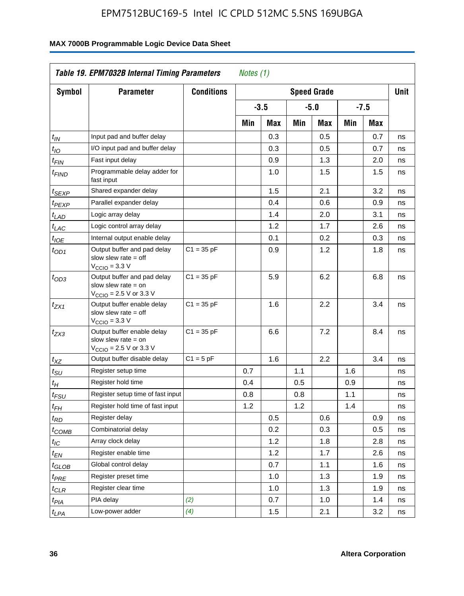| <b>Symbol</b>               | <b>Parameter</b>                                                                                            | <b>Conditions</b> |     |        |     | <b>Speed Grade</b> |     |        | <b>Unit</b> |
|-----------------------------|-------------------------------------------------------------------------------------------------------------|-------------------|-----|--------|-----|--------------------|-----|--------|-------------|
|                             |                                                                                                             |                   |     | $-3.5$ |     | $-5.0$             |     | $-7.5$ |             |
|                             |                                                                                                             |                   | Min | Max    | Min | Max                | Min | Max    |             |
| $t_{\mathsf{IN}}$           | Input pad and buffer delay                                                                                  |                   |     | 0.3    |     | 0.5                |     | 0.7    | ns          |
| $t_{IO}$                    | I/O input pad and buffer delay                                                                              |                   |     | 0.3    |     | 0.5                |     | 0.7    | ns          |
| $t_{\sf FIN}$               | Fast input delay                                                                                            |                   |     | 0.9    |     | 1.3                |     | 2.0    | ns          |
| <sup>t</sup> FIND           | Programmable delay adder for<br>fast input                                                                  |                   |     | 1.0    |     | 1.5                |     | 1.5    | ns          |
| t <sub>SEXP</sub>           | Shared expander delay                                                                                       |                   |     | 1.5    |     | 2.1                |     | 3.2    | ns          |
| t <sub>PEXP</sub>           | Parallel expander delay                                                                                     |                   |     | 0.4    |     | 0.6                |     | 0.9    | ns          |
| t <sub>LAD</sub>            | Logic array delay                                                                                           |                   |     | 1.4    |     | 2.0                |     | 3.1    | ns          |
| $t_{LAC}$                   | Logic control array delay                                                                                   |                   |     | 1.2    |     | 1.7                |     | 2.6    | ns          |
| $t_{IOE}$                   | Internal output enable delay                                                                                |                   |     | 0.1    |     | 0.2                |     | 0.3    | ns          |
| $t_{OD1}$                   | Output buffer and pad delay<br>slow slew rate $=$ off<br>$V_{\text{CCIO}} = 3.3 \text{ V}$                  | $C1 = 35 pF$      |     | 0.9    |     | 1.2                |     | 1.8    | ns          |
| $t_{OD3}$                   | Output buffer and pad delay<br>slow slew rate $=$ on<br>$V_{\text{CCIO}} = 2.5 \text{ V or } 3.3 \text{ V}$ | $C1 = 35 pF$      |     | 5.9    |     | 6.2                |     | 6.8    | ns          |
| $t_{ZX1}$                   | Output buffer enable delay<br>slow slew rate $=$ off<br>$V_{\text{CCIO}} = 3.3 \text{ V}$                   | $C1 = 35 pF$      |     | 1.6    |     | 2.2                |     | 3.4    | ns          |
| $t_{ZX3}$                   | Output buffer enable delay<br>slow slew rate $=$ on<br>$V_{\text{CCIO}} = 2.5 \text{ V or } 3.3 \text{ V}$  | $C1 = 35 pF$      |     | 6.6    |     | 7.2                |     | 8.4    | ns          |
| $t_{XZ}$                    | Output buffer disable delay                                                                                 | $C1 = 5pF$        |     | 1.6    |     | 2.2                |     | 3.4    | ns          |
| $t_{\scriptstyle\text{SU}}$ | Register setup time                                                                                         |                   | 0.7 |        | 1.1 |                    | 1.6 |        | ns          |
| t <sub>Η</sub>              | Register hold time                                                                                          |                   | 0.4 |        | 0.5 |                    | 0.9 |        | ns          |
| t <sub>FSU</sub>            | Register setup time of fast input                                                                           |                   | 0.8 |        | 0.8 |                    | 1.1 |        | ns          |
| t <sub>FH</sub>             | Register hold time of fast input                                                                            |                   | 1.2 |        | 1.2 |                    | 1.4 |        | ns          |
| t <sub>RD</sub>             | Register delay                                                                                              |                   |     | 0.5    |     | 0.6                |     | 0.9    | ns          |
| t <sub>COMB</sub>           | Combinatorial delay                                                                                         |                   |     | 0.2    |     | 0.3                |     | 0.5    | ns          |
| $t_{\mathcal{IC}}$          | Array clock delay                                                                                           |                   |     | 1.2    |     | 1.8                |     | 2.8    | ns          |
| $t_{EN}$                    | Register enable time                                                                                        |                   |     | 1.2    |     | 1.7                |     | 2.6    | ns          |
| t <sub>GLOB</sub>           | Global control delay                                                                                        |                   |     | 0.7    |     | 1.1                |     | 1.6    | ns          |
| $t_{PRE}$                   | Register preset time                                                                                        |                   |     | 1.0    |     | 1.3                |     | 1.9    | ns          |
| $t_{\text{CLR}}$            | Register clear time                                                                                         |                   |     | 1.0    |     | 1.3                |     | 1.9    | ns          |
| t <sub>PIA</sub>            | PIA delay                                                                                                   | (2)               |     | 0.7    |     | 1.0                |     | 1.4    | ns          |
| t <sub>LPA</sub>            | Low-power adder                                                                                             | (4)               |     | 1.5    |     | 2.1                |     | 3.2    | ns          |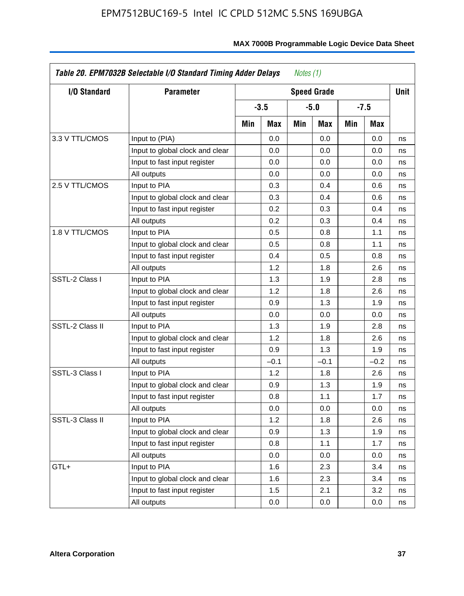| <b>I/O Standard</b> | <b>Parameter</b>                |     |        |     | <b>Speed Grade</b> |     |        | <b>Unit</b> |
|---------------------|---------------------------------|-----|--------|-----|--------------------|-----|--------|-------------|
|                     |                                 |     | $-3.5$ |     | $-5.0$             |     | $-7.5$ |             |
|                     |                                 | Min | Max    | Min | Max                | Min | Max    |             |
| 3.3 V TTL/CMOS      | Input to (PIA)                  |     | 0.0    |     | 0.0                |     | 0.0    | ns          |
|                     | Input to global clock and clear |     | 0.0    |     | 0.0                |     | 0.0    | ns          |
|                     | Input to fast input register    |     | 0.0    |     | 0.0                |     | 0.0    | ns          |
|                     | All outputs                     |     | 0.0    |     | 0.0                |     | 0.0    | ns          |
| 2.5 V TTL/CMOS      | Input to PIA                    |     | 0.3    |     | 0.4                |     | 0.6    | ns          |
|                     | Input to global clock and clear |     | 0.3    |     | 0.4                |     | 0.6    | ns          |
|                     | Input to fast input register    |     | 0.2    |     | 0.3                |     | 0.4    | ns          |
|                     | All outputs                     |     | 0.2    |     | 0.3                |     | 0.4    | ns          |
| 1.8 V TTL/CMOS      | Input to PIA                    |     | 0.5    |     | 0.8                |     | 1.1    | ns          |
|                     | Input to global clock and clear |     | 0.5    |     | 0.8                |     | 1.1    | ns          |
|                     | Input to fast input register    |     | 0.4    |     | 0.5                |     | 0.8    | ns          |
|                     | All outputs                     |     | 1.2    |     | 1.8                |     | 2.6    | ns          |
| SSTL-2 Class I      | Input to PIA                    |     | 1.3    |     | 1.9                |     | 2.8    | ns          |
|                     | Input to global clock and clear |     | 1.2    |     | 1.8                |     | 2.6    | ns          |
|                     | Input to fast input register    |     | 0.9    |     | 1.3                |     | 1.9    | ns          |
|                     | All outputs                     |     | 0.0    |     | 0.0                |     | 0.0    | ns          |
| SSTL-2 Class II     | Input to PIA                    |     | 1.3    |     | 1.9                |     | 2.8    | ns          |
|                     | Input to global clock and clear |     | 1.2    |     | 1.8                |     | 2.6    | ns          |
|                     | Input to fast input register    |     | 0.9    |     | 1.3                |     | 1.9    | ns          |
|                     | All outputs                     |     | $-0.1$ |     | $-0.1$             |     | $-0.2$ | ns          |
| SSTL-3 Class I      | Input to PIA                    |     | 1.2    |     | 1.8                |     | 2.6    | ns          |
|                     | Input to global clock and clear |     | 0.9    |     | 1.3                |     | 1.9    | ns          |
|                     | Input to fast input register    |     | 0.8    |     | 1.1                |     | 1.7    | ns          |
|                     | All outputs                     |     | 0.0    |     | 0.0                |     | 0.0    | ns          |
| SSTL-3 Class II     | Input to PIA                    |     | 1.2    |     | 1.8                |     | 2.6    | ns          |
|                     | Input to global clock and clear |     | 0.9    |     | 1.3                |     | 1.9    | ns          |
|                     | Input to fast input register    |     | 0.8    |     | 1.1                |     | 1.7    | ns          |
|                     | All outputs                     |     | 0.0    |     | 0.0                |     | 0.0    | ns          |
| GTL+                | Input to PIA                    |     | 1.6    |     | 2.3                |     | 3.4    | ns          |
|                     | Input to global clock and clear |     | 1.6    |     | 2.3                |     | 3.4    | ns          |
|                     | Input to fast input register    |     | 1.5    |     | 2.1                |     | 3.2    | ns          |
|                     | All outputs                     |     | 0.0    |     | 0.0                |     | 0.0    | ns          |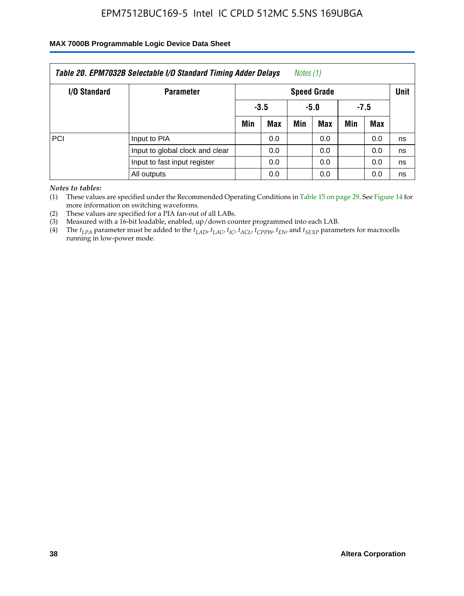### **MAX 7000B Programmable Logic Device Data Sheet**

|              | Table 20. EPM7032B Selectable I/O Standard Timing Adder Delays |     |                    | Notes (1) |            |        |     |    |  |  |
|--------------|----------------------------------------------------------------|-----|--------------------|-----------|------------|--------|-----|----|--|--|
| I/O Standard | <b>Parameter</b>                                               |     | <b>Speed Grade</b> |           |            |        |     |    |  |  |
|              |                                                                |     | $-3.5$             |           | -5.0       | $-7.5$ |     |    |  |  |
|              |                                                                | Min | <b>Max</b>         | Min       | <b>Max</b> | Min    | Max |    |  |  |
| PCI          | Input to PIA                                                   |     | 0.0                |           | 0.0        |        | 0.0 | ns |  |  |
|              | Input to global clock and clear                                |     | 0.0                |           | 0.0        |        | 0.0 | ns |  |  |
|              | Input to fast input register                                   |     | 0.0                |           | 0.0        |        | 0.0 | ns |  |  |
|              | All outputs                                                    |     | 0.0                |           | 0.0        |        | 0.0 | ns |  |  |

*Notes to tables:*

(1) These values are specified under the Recommended Operating Conditions in Table 15 on page 29. See Figure 14 for more information on switching waveforms.

(2) These values are specified for a PIA fan-out of all LABs.

(3) Measured with a 16-bit loadable, enabled, up/down counter programmed into each LAB.

(4) The *tLPA* parameter must be added to the *tLAD*, *tLAC*, *tIC*, *tACL*, *tCPPW*, *tEN*, and *tSEXP* parameters for macrocells running in low-power mode.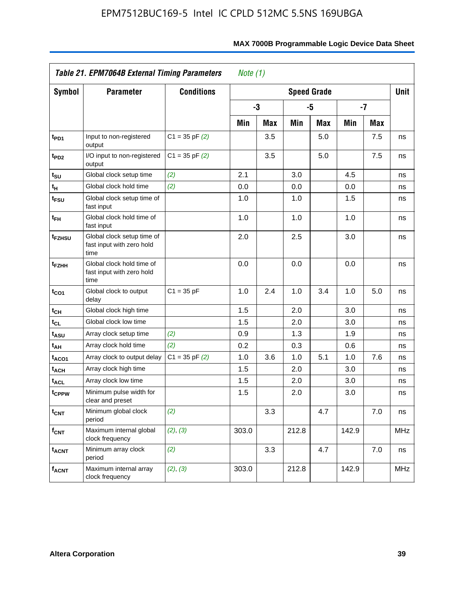|                             | Table 21. EPM7064B External Timing Parameters                   |                    | Note $(1)$ |     |                    |     |       |            |             |
|-----------------------------|-----------------------------------------------------------------|--------------------|------------|-----|--------------------|-----|-------|------------|-------------|
| <b>Symbol</b>               | <b>Parameter</b>                                                | <b>Conditions</b>  |            |     | <b>Speed Grade</b> |     |       |            | <b>Unit</b> |
|                             |                                                                 |                    |            | -3  |                    | -5  |       | $-7$       |             |
|                             |                                                                 |                    | Min        | Max | Min                | Max | Min   | <b>Max</b> |             |
| t <sub>PD1</sub>            | Input to non-registered<br>output                               | $C1 = 35$ pF $(2)$ |            | 3.5 |                    | 5.0 |       | 7.5        | ns          |
| t <sub>PD2</sub>            | I/O input to non-registered<br>output                           | $C1 = 35$ pF $(2)$ |            | 3.5 |                    | 5.0 |       | 7.5        | ns          |
| t <sub>su</sub>             | Global clock setup time                                         | (2)                | 2.1        |     | 3.0                |     | 4.5   |            | ns          |
| $\mathfrak{t}_{\mathsf{H}}$ | Global clock hold time                                          | (2)                | 0.0        |     | 0.0                |     | 0.0   |            | ns          |
| t <sub>FSU</sub>            | Global clock setup time of<br>fast input                        |                    | 1.0        |     | 1.0                |     | 1.5   |            | ns          |
| $t_{FH}$                    | Global clock hold time of<br>fast input                         |                    | 1.0        |     | 1.0                |     | 1.0   |            | ns          |
| t <sub>FZHSU</sub>          | Global clock setup time of<br>fast input with zero hold<br>time |                    | 2.0        |     | 2.5                |     | 3.0   |            | ns          |
| t <sub>FZHH</sub>           | Global clock hold time of<br>fast input with zero hold<br>time  |                    | 0.0        |     | 0.0                |     | 0.0   |            | ns          |
| $t_{CO1}$                   | Global clock to output<br>delay                                 | $C1 = 35 pF$       | 1.0        | 2.4 | 1.0                | 3.4 | 1.0   | 5.0        | ns          |
| $t_{\text{CH}}$             | Global clock high time                                          |                    | 1.5        |     | 2.0                |     | 3.0   |            | ns          |
| $t_{CL}$                    | Global clock low time                                           |                    | 1.5        |     | 2.0                |     | 3.0   |            | ns          |
| t <sub>ASU</sub>            | Array clock setup time                                          | (2)                | 0.9        |     | 1.3                |     | 1.9   |            | ns          |
| t <sub>AH</sub>             | Array clock hold time                                           | (2)                | 0.2        |     | 0.3                |     | 0.6   |            | ns          |
| t <sub>ACO1</sub>           | Array clock to output delay                                     | $C1 = 35$ pF $(2)$ | 1.0        | 3.6 | 1.0                | 5.1 | 1.0   | 7.6        | ns          |
| <sup>t</sup> ACH            | Array clock high time                                           |                    | 1.5        |     | 2.0                |     | 3.0   |            | ns          |
| <b>t<sub>ACL</sub></b>      | Array clock low time                                            |                    | 1.5        |     | 2.0                |     | 3.0   |            | ns          |
| t <sub>CPPW</sub>           | Minimum pulse width for<br>clear and preset                     |                    | 1.5        |     | 2.0                |     | 3.0   |            | ns          |
| $t_{\text{CNT}}$            | Minimum global clock<br>period                                  | (2)                |            | 3.3 |                    | 4.7 |       | 7.0        | ns          |
| $f_{\text{CNT}}$            | Maximum internal global<br>clock frequency                      | (2), (3)           | 303.0      |     | 212.8              |     | 142.9 |            | <b>MHz</b>  |
| <b>t<sub>ACNT</sub></b>     | Minimum array clock<br>period                                   | (2)                |            | 3.3 |                    | 4.7 |       | 7.0        | ns          |
| <b>f<sub>ACNT</sub></b>     | Maximum internal array<br>clock frequency                       | (2), (3)           | 303.0      |     | 212.8              |     | 142.9 |            | <b>MHz</b>  |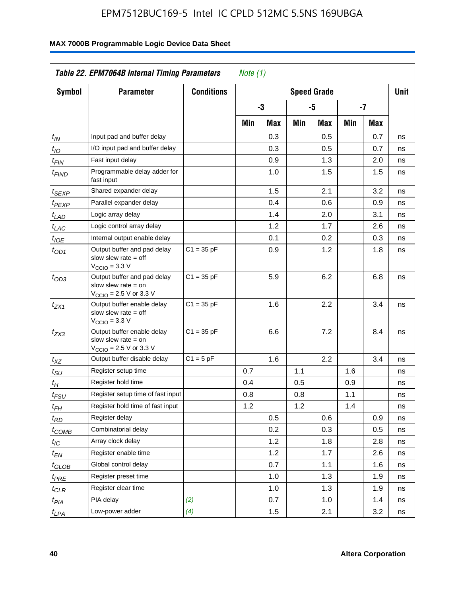| <b>Symbol</b>               | <b>Parameter</b>                                                                                           | <b>Conditions</b> |     |     |     | <b>Speed Grade</b> |     |            | <b>Unit</b> |
|-----------------------------|------------------------------------------------------------------------------------------------------------|-------------------|-----|-----|-----|--------------------|-----|------------|-------------|
|                             |                                                                                                            |                   |     | -3  |     | -5                 |     | -7         |             |
|                             |                                                                                                            |                   | Min | Max | Min | Max                | Min | <b>Max</b> |             |
| $t_{\mathit{IN}}$           | Input pad and buffer delay                                                                                 |                   |     | 0.3 |     | 0.5                |     | 0.7        | ns          |
| $t_{IO}$                    | I/O input pad and buffer delay                                                                             |                   |     | 0.3 |     | 0.5                |     | 0.7        | ns          |
| $t_{\sf FIN}$               | Fast input delay                                                                                           |                   |     | 0.9 |     | 1.3                |     | 2.0        | ns          |
| <sup>t</sup> FIND           | Programmable delay adder for<br>fast input                                                                 |                   |     | 1.0 |     | 1.5                |     | 1.5        | ns          |
| t <sub>SEXP</sub>           | Shared expander delay                                                                                      |                   |     | 1.5 |     | 2.1                |     | 3.2        | ns          |
| t <sub>PEXP</sub>           | Parallel expander delay                                                                                    |                   |     | 0.4 |     | 0.6                |     | 0.9        | ns          |
| t <sub>LAD</sub>            | Logic array delay                                                                                          |                   |     | 1.4 |     | 2.0                |     | 3.1        | ns          |
| $t_{LAC}$                   | Logic control array delay                                                                                  |                   |     | 1.2 |     | 1.7                |     | 2.6        | ns          |
| $t_{\mathit{IOE}}$          | Internal output enable delay                                                                               |                   |     | 0.1 |     | 0.2                |     | 0.3        | ns          |
| $t_{OD1}$                   | Output buffer and pad delay<br>slow slew rate $=$ off<br>$VCCIO = 3.3 V$                                   | $C1 = 35 pF$      |     | 0.9 |     | 1.2                |     | 1.8        | ns          |
| $t_{OD3}$                   | Output buffer and pad delay<br>slow slew rate $=$ on<br>V <sub>CCIO</sub> = 2.5 V or 3.3 V                 | $C1 = 35 pF$      |     | 5.9 |     | 6.2                |     | 6.8        | ns          |
| $t_{ZX1}$                   | Output buffer enable delay<br>slow slew rate $=$ off<br>$V_{\text{CCIO}} = 3.3 \text{ V}$                  | $C1 = 35 pF$      |     | 1.6 |     | 2.2                |     | 3.4        | ns          |
| $t_{ZX3}$                   | Output buffer enable delay<br>slow slew rate $=$ on<br>$V_{\text{CCIO}} = 2.5 \text{ V or } 3.3 \text{ V}$ | $C1 = 35 pF$      |     | 6.6 |     | 7.2                |     | 8.4        | ns          |
| $t_{XZ}$                    | Output buffer disable delay                                                                                | $C1 = 5pF$        |     | 1.6 |     | 2.2                |     | 3.4        | ns          |
| $t_{\scriptstyle\text{SU}}$ | Register setup time                                                                                        |                   | 0.7 |     | 1.1 |                    | 1.6 |            | ns          |
| t <sub>Η</sub>              | Register hold time                                                                                         |                   | 0.4 |     | 0.5 |                    | 0.9 |            | ns          |
| $t_{\mathit{FSU}}$          | Register setup time of fast input                                                                          |                   | 0.8 |     | 0.8 |                    | 1.1 |            | ns          |
| t <sub>FH</sub>             | Register hold time of fast input                                                                           |                   | 1.2 |     | 1.2 |                    | 1.4 |            | ns          |
| $t_{RD}$                    | Register delay                                                                                             |                   |     | 0.5 |     | 0.6                |     | 0.9        | ns          |
| $t_{COMB}$                  | Combinatorial delay                                                                                        |                   |     | 0.2 |     | 0.3                |     | 0.5        | ns          |
| $t_{\mathcal{IC}}$          | Array clock delay                                                                                          |                   |     | 1.2 |     | 1.8                |     | 2.8        | ns          |
| $t_{EN}$                    | Register enable time                                                                                       |                   |     | 1.2 |     | 1.7                |     | 2.6        | ns          |
| t <sub>GLOB</sub>           | Global control delay                                                                                       |                   |     | 0.7 |     | 1.1                |     | 1.6        | ns          |
| $t_{PRE}$                   | Register preset time                                                                                       |                   |     | 1.0 |     | 1.3                |     | 1.9        | ns          |
| $t_{\sf CLR}$               | Register clear time                                                                                        |                   |     | 1.0 |     | 1.3                |     | 1.9        | ns          |
| t <sub>PIA</sub>            | PIA delay                                                                                                  | (2)               |     | 0.7 |     | 1.0                |     | 1.4        | ns          |
| t <sub>LPA</sub>            | Low-power adder                                                                                            | (4)               |     | 1.5 |     | 2.1                |     | 3.2        | ns          |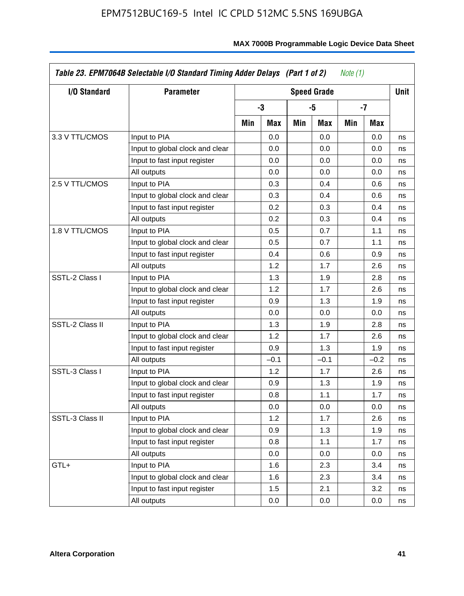| I/O Standard    | <b>Parameter</b>                |     |            |     | <b>Speed Grade</b> |     |        | Unit |
|-----------------|---------------------------------|-----|------------|-----|--------------------|-----|--------|------|
|                 |                                 |     | $-3$       |     | -5                 |     | -7     |      |
|                 |                                 | Min | <b>Max</b> | Min | Max                | Min | Max    |      |
| 3.3 V TTL/CMOS  | Input to PIA                    |     | 0.0        |     | 0.0                |     | 0.0    | ns   |
|                 | Input to global clock and clear |     | 0.0        |     | 0.0                |     | 0.0    | ns   |
|                 | Input to fast input register    |     | 0.0        |     | 0.0                |     | 0.0    | ns   |
|                 | All outputs                     |     | 0.0        |     | 0.0                |     | 0.0    | ns   |
| 2.5 V TTL/CMOS  | Input to PIA                    |     | 0.3        |     | 0.4                |     | 0.6    | ns   |
|                 | Input to global clock and clear |     | 0.3        |     | 0.4                |     | 0.6    | ns   |
|                 | Input to fast input register    |     | 0.2        |     | 0.3                |     | 0.4    | ns   |
|                 | All outputs                     |     | 0.2        |     | 0.3                |     | 0.4    | ns   |
| 1.8 V TTL/CMOS  | Input to PIA                    |     | 0.5        |     | 0.7                |     | 1.1    | ns   |
|                 | Input to global clock and clear |     | 0.5        |     | 0.7                |     | 1.1    | ns   |
|                 | Input to fast input register    |     | 0.4        |     | 0.6                |     | 0.9    | ns   |
|                 | All outputs                     |     | 1.2        |     | 1.7                |     | 2.6    | ns   |
| SSTL-2 Class I  | Input to PIA                    |     | 1.3        |     | 1.9                |     | 2.8    | ns   |
|                 | Input to global clock and clear |     | 1.2        |     | 1.7                |     | 2.6    | ns   |
|                 | Input to fast input register    |     | 0.9        |     | 1.3                |     | 1.9    | ns   |
|                 | All outputs                     |     | 0.0        |     | 0.0                |     | 0.0    | ns   |
| SSTL-2 Class II | Input to PIA                    |     | 1.3        |     | 1.9                |     | 2.8    | ns   |
|                 | Input to global clock and clear |     | 1.2        |     | 1.7                |     | 2.6    | ns   |
|                 | Input to fast input register    |     | 0.9        |     | 1.3                |     | 1.9    | ns   |
|                 | All outputs                     |     | $-0.1$     |     | $-0.1$             |     | $-0.2$ | ns   |
| SSTL-3 Class I  | Input to PIA                    |     | 1.2        |     | 1.7                |     | 2.6    | ns   |
|                 | Input to global clock and clear |     | 0.9        |     | 1.3                |     | 1.9    | ns   |
|                 | Input to fast input register    |     | 0.8        |     | 1.1                |     | 1.7    | ns   |
|                 | All outputs                     |     | 0.0        |     | 0.0                |     | 0.0    | ns   |
| SSTL-3 Class II | Input to PIA                    |     | 1.2        |     | 1.7                |     | 2.6    | ns   |
|                 | Input to global clock and clear |     | 0.9        |     | 1.3                |     | 1.9    | ns   |
|                 | Input to fast input register    |     | 0.8        |     | 1.1                |     | 1.7    | ns   |
|                 | All outputs                     |     | 0.0        |     | 0.0                |     | 0.0    | ns   |
| GTL+            | Input to PIA                    |     | 1.6        |     | 2.3                |     | 3.4    | ns   |
|                 | Input to global clock and clear |     | 1.6        |     | 2.3                |     | 3.4    | ns   |
|                 | Input to fast input register    |     | 1.5        |     | 2.1                |     | 3.2    | ns   |
|                 | All outputs                     |     | 0.0        |     | 0.0                |     | 0.0    | ns   |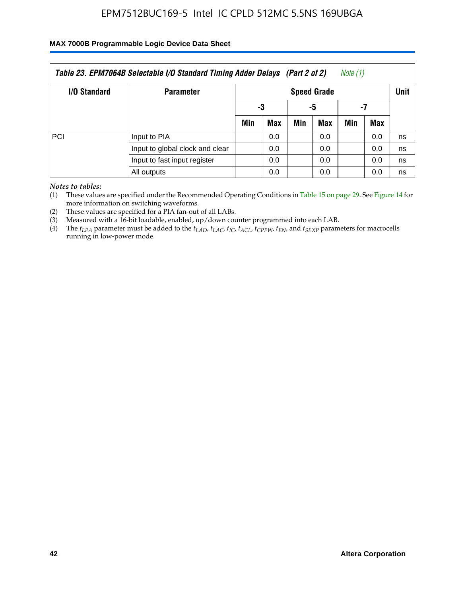#### **MAX 7000B Programmable Logic Device Data Sheet**

|              | Table 23. EPM7064B Selectable I/O Standard Timing Adder Delays (Part 2 of 2) |     |                    |     |            | Note (1) |     |    |  |  |
|--------------|------------------------------------------------------------------------------|-----|--------------------|-----|------------|----------|-----|----|--|--|
| I/O Standard | <b>Parameter</b>                                                             |     | <b>Speed Grade</b> |     |            |          |     |    |  |  |
|              |                                                                              |     | -3                 |     | -5         | -7       |     |    |  |  |
|              |                                                                              | Min | <b>Max</b>         | Min | <b>Max</b> | Min      | Max |    |  |  |
| PCI          | Input to PIA                                                                 |     | 0.0                |     | 0.0        |          | 0.0 | ns |  |  |
|              | Input to global clock and clear                                              |     | 0.0                |     | 0.0        |          | 0.0 | ns |  |  |
|              | Input to fast input register                                                 |     | 0.0                |     | 0.0        |          | 0.0 | ns |  |  |
|              | All outputs                                                                  |     | 0.0                |     | 0.0        |          | 0.0 | ns |  |  |

*Notes to tables:*

(1) These values are specified under the Recommended Operating Conditions in Table 15 on page 29. See Figure 14 for more information on switching waveforms.

(2) These values are specified for a PIA fan-out of all LABs.

(3) Measured with a 16-bit loadable, enabled, up/down counter programmed into each LAB.

(4) The  $t_{LPA}$  parameter must be added to the  $t_{LAD}$ ,  $t_{LAC}$ ,  $t_{IC}$ ,  $t_{ACL}$ ,  $t_{CPPW}$ ,  $t_{EN}$ , and  $t_{SEXP}$  parameters for macrocells running in low-power mode.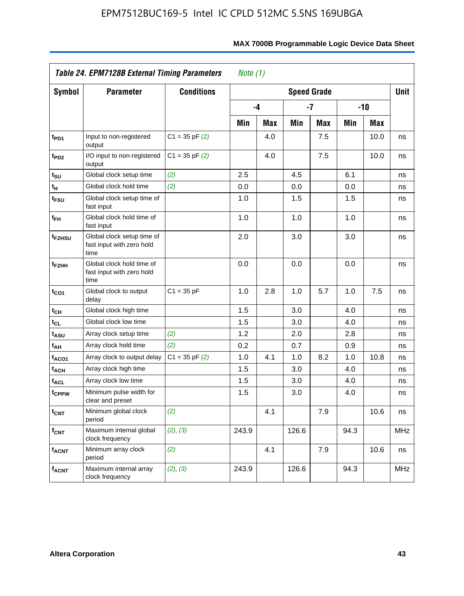|                         | <b>Table 24. EPM7128B External Timing Parameters</b>            |                    | Note $(1)$ |            |       |                    |      |            |             |
|-------------------------|-----------------------------------------------------------------|--------------------|------------|------------|-------|--------------------|------|------------|-------------|
| Symbol                  | <b>Parameter</b>                                                | <b>Conditions</b>  |            |            |       | <b>Speed Grade</b> |      |            | <b>Unit</b> |
|                         |                                                                 |                    |            | -4         |       | $-7$               |      | $-10$      |             |
|                         |                                                                 |                    | Min        | <b>Max</b> | Min   | <b>Max</b>         | Min  | <b>Max</b> |             |
| t <sub>PD1</sub>        | Input to non-registered<br>output                               | $C1 = 35$ pF $(2)$ |            | 4.0        |       | 7.5                |      | 10.0       | ns          |
| t <sub>PD2</sub>        | I/O input to non-registered<br>output                           | $C1 = 35$ pF $(2)$ |            | 4.0        |       | 7.5                |      | 10.0       | ns          |
| t <sub>su</sub>         | Global clock setup time                                         | (2)                | 2.5        |            | 4.5   |                    | 6.1  |            | ns          |
| $t_H$                   | Global clock hold time                                          | (2)                | 0.0        |            | 0.0   |                    | 0.0  |            | ns          |
| t <sub>FSU</sub>        | Global clock setup time of<br>fast input                        |                    | 1.0        |            | 1.5   |                    | 1.5  |            | ns          |
| $t_{FH}$                | Global clock hold time of<br>fast input                         |                    | 1.0        |            | 1.0   |                    | 1.0  |            | ns          |
| t <sub>FZHSU</sub>      | Global clock setup time of<br>fast input with zero hold<br>time |                    | 2.0        |            | 3.0   |                    | 3.0  |            | ns          |
| t <sub>FZHH</sub>       | Global clock hold time of<br>fast input with zero hold<br>time  |                    | 0.0        |            | 0.0   |                    | 0.0  |            | ns          |
| $t_{CO1}$               | Global clock to output<br>delay                                 | $C1 = 35 pF$       | 1.0        | 2.8        | 1.0   | 5.7                | 1.0  | 7.5        | ns          |
| t <sub>CH</sub>         | Global clock high time                                          |                    | 1.5        |            | 3.0   |                    | 4.0  |            | ns          |
| $t_{CL}$                | Global clock low time                                           |                    | 1.5        |            | 3.0   |                    | 4.0  |            | ns          |
| t <sub>ASU</sub>        | Array clock setup time                                          | (2)                | 1.2        |            | 2.0   |                    | 2.8  |            | ns          |
| t <sub>АН</sub>         | Array clock hold time                                           | (2)                | 0.2        |            | 0.7   |                    | 0.9  |            | ns          |
| t <sub>ACO1</sub>       | Array clock to output delay                                     | $C1 = 35$ pF $(2)$ | 1.0        | 4.1        | 1.0   | 8.2                | 1.0  | 10.8       | ns          |
| <sup>t</sup> ach        | Array clock high time                                           |                    | 1.5        |            | 3.0   |                    | 4.0  |            | ns          |
| <b>t<sub>ACL</sub></b>  | Array clock low time                                            |                    | 1.5        |            | 3.0   |                    | 4.0  |            | ns          |
| tcPPW                   | Minimum pulse width for<br>clear and preset                     |                    | 1.5        |            | 3.0   |                    | 4.0  |            | ns          |
| $t_{\text{CNT}}$        | Minimum global clock<br>period                                  | (2)                |            | 4.1        |       | 7.9                |      | 10.6       | ns          |
| $f_{\mathsf{CNT}}$      | Maximum internal global<br>clock frequency                      | (2), (3)           | 243.9      |            | 126.6 |                    | 94.3 |            | <b>MHz</b>  |
| <b>t<sub>ACNT</sub></b> | Minimum array clock<br>period                                   | (2)                |            | 4.1        |       | 7.9                |      | 10.6       | ns          |
| $f_{ACNT}$              | Maximum internal array<br>clock frequency                       | (2), (3)           | 243.9      |            | 126.6 |                    | 94.3 |            | <b>MHz</b>  |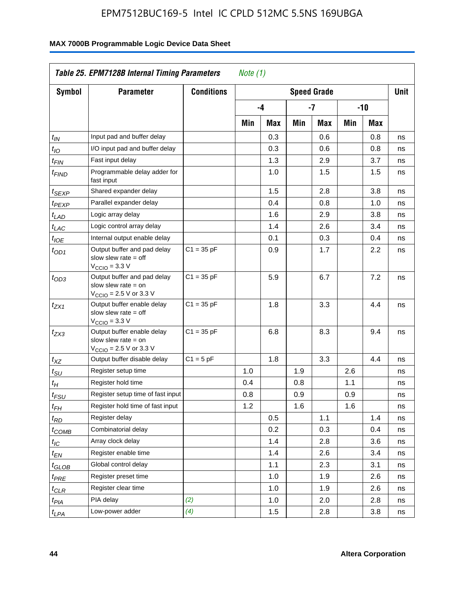| Symbol                | <b>Parameter</b>                                                                                            | <b>Conditions</b> |     |     |     | <b>Speed Grade</b> |     |                  | <b>Unit</b> |
|-----------------------|-------------------------------------------------------------------------------------------------------------|-------------------|-----|-----|-----|--------------------|-----|------------------|-------------|
|                       |                                                                                                             |                   |     | -4  |     | $-7$               |     | $-10$            |             |
|                       |                                                                                                             |                   | Min | Max | Min | Max                | Min | Max              |             |
| $t_{IN}$              | Input pad and buffer delay                                                                                  |                   |     | 0.3 |     | 0.6                |     | 0.8              | ns          |
| $t_{IO}$              | I/O input pad and buffer delay                                                                              |                   |     | 0.3 |     | 0.6                |     | 0.8              | ns          |
| $t_{\text{FIN}}$      | Fast input delay                                                                                            |                   |     | 1.3 |     | 2.9                |     | 3.7              | ns          |
| <sup>t</sup> FIND     | Programmable delay adder for<br>fast input                                                                  |                   |     | 1.0 |     | 1.5                |     | 1.5              | ns          |
| $t_{SEXP}$            | Shared expander delay                                                                                       |                   |     | 1.5 |     | 2.8                |     | 3.8              | ns          |
| t <sub>PEXP</sub>     | Parallel expander delay                                                                                     |                   |     | 0.4 |     | 0.8                |     | 1.0              | ns          |
| t <sub>LAD</sub>      | Logic array delay                                                                                           |                   |     | 1.6 |     | 2.9                |     | 3.8              | ns          |
| t <sub>LAC</sub>      | Logic control array delay                                                                                   |                   |     | 1.4 |     | 2.6                |     | 3.4              | ns          |
| $t_{IOE}$             | Internal output enable delay                                                                                |                   |     | 0.1 |     | 0.3                |     | 0.4              | ns          |
| $t_{OD1}$             | Output buffer and pad delay<br>slow slew rate $=$ off<br>$V_{\text{CCIO}} = 3.3 \text{ V}$                  | $C1 = 35 pF$      |     | 0.9 |     | 1.7                |     | $2.2\phantom{0}$ | ns          |
| $t_{OD3}$             | Output buffer and pad delay<br>slow slew rate $=$ on<br>$V_{\text{CCIO}} = 2.5 \text{ V or } 3.3 \text{ V}$ | $C1 = 35 pF$      |     | 5.9 |     | 6.7                |     | 7.2              | ns          |
| tzx1                  | Output buffer enable delay<br>slow slew rate $=$ off<br>$V_{\text{CCIO}} = 3.3 \text{ V}$                   | $C1 = 35 pF$      |     | 1.8 |     | 3.3                |     | 4.4              | ns          |
| $t_{ZX3}$             | Output buffer enable delay<br>slow slew rate $=$ on<br>$V_{\text{CCIO}} = 2.5 \text{ V or } 3.3 \text{ V}$  | $C1 = 35 pF$      |     | 6.8 |     | 8.3                |     | 9.4              | ns          |
| $t_{XZ}$              | Output buffer disable delay                                                                                 | $C1 = 5pF$        |     | 1.8 |     | 3.3                |     | 4.4              | ns          |
| $t_{\rm SU}$          | Register setup time                                                                                         |                   | 1.0 |     | 1.9 |                    | 2.6 |                  | ns          |
| t <sub>Η</sub>        | Register hold time                                                                                          |                   | 0.4 |     | 0.8 |                    | 1.1 |                  | ns          |
| $t_{\mathit{FSU}}$    | Register setup time of fast input                                                                           |                   | 0.8 |     | 0.9 |                    | 0.9 |                  | ns          |
| $t_{FH}$              | Register hold time of fast input                                                                            |                   | 1.2 |     | 1.6 |                    | 1.6 |                  | ns          |
| $t_{RD}$              | Register delay                                                                                              |                   |     | 0.5 |     | 1.1                |     | 1.4              | ns          |
| $t_{\rm COMB}$        | Combinatorial delay                                                                                         |                   |     | 0.2 |     | 0.3                |     | 0.4              | ns          |
| $t_{\mathcal{IC}}$    | Array clock delay                                                                                           |                   |     | 1.4 |     | 2.8                |     | 3.6              | ns          |
| $t_{EN}$              | Register enable time                                                                                        |                   |     | 1.4 |     | 2.6                |     | 3.4              | ns          |
| t <sub>GLOB</sub>     | Global control delay                                                                                        |                   |     | 1.1 |     | 2.3                |     | 3.1              | ns          |
| $t_{PRE}$             | Register preset time                                                                                        |                   |     | 1.0 |     | 1.9                |     | 2.6              | ns          |
| ${}^t\rm{CLR}$        | Register clear time                                                                                         |                   |     | 1.0 |     | 1.9                |     | 2.6              | ns          |
| $t_{PI\underline{A}}$ | PIA delay                                                                                                   | (2)               |     | 1.0 |     | 2.0                |     | 2.8              | ns          |
| $t_{LPA}$             | Low-power adder                                                                                             | (4)               |     | 1.5 |     | 2.8                |     | 3.8              | ns          |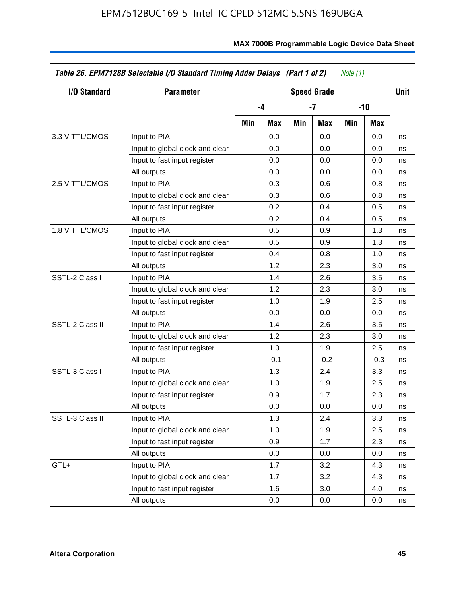| I/O Standard    | <b>Parameter</b>                |     |        |     | <b>Speed Grade</b> |     |        | <b>Unit</b> |
|-----------------|---------------------------------|-----|--------|-----|--------------------|-----|--------|-------------|
|                 |                                 |     | -4     |     | -7                 |     | -10    |             |
|                 |                                 | Min | Max    | Min | Max                | Min | Max    |             |
| 3.3 V TTL/CMOS  | Input to PIA                    |     | 0.0    |     | 0.0                |     | 0.0    | ns          |
|                 | Input to global clock and clear |     | 0.0    |     | 0.0                |     | 0.0    | ns          |
|                 | Input to fast input register    |     | 0.0    |     | 0.0                |     | 0.0    | ns          |
|                 | All outputs                     |     | 0.0    |     | 0.0                |     | 0.0    | ns          |
| 2.5 V TTL/CMOS  | Input to PIA                    |     | 0.3    |     | 0.6                |     | 0.8    | ns          |
|                 | Input to global clock and clear |     | 0.3    |     | 0.6                |     | 0.8    | ns          |
|                 | Input to fast input register    |     | 0.2    |     | 0.4                |     | 0.5    | ns          |
|                 | All outputs                     |     | 0.2    |     | 0.4                |     | 0.5    | ns          |
| 1.8 V TTL/CMOS  | Input to PIA                    |     | 0.5    |     | 0.9                |     | 1.3    | ns          |
|                 | Input to global clock and clear |     | 0.5    |     | 0.9                |     | 1.3    | ns          |
|                 | Input to fast input register    |     | 0.4    |     | 0.8                |     | 1.0    | ns          |
|                 | All outputs                     |     | 1.2    |     | 2.3                |     | 3.0    | ns          |
| SSTL-2 Class I  | Input to PIA                    |     | 1.4    |     | 2.6                |     | 3.5    | ns          |
|                 | Input to global clock and clear |     | 1.2    |     | 2.3                |     | 3.0    | ns          |
|                 | Input to fast input register    |     | 1.0    |     | 1.9                |     | 2.5    | ns          |
|                 | All outputs                     |     | 0.0    |     | 0.0                |     | 0.0    | ns          |
| SSTL-2 Class II | Input to PIA                    |     | 1.4    |     | 2.6                |     | 3.5    | ns          |
|                 | Input to global clock and clear |     | 1.2    |     | 2.3                |     | 3.0    | ns          |
|                 | Input to fast input register    |     | 1.0    |     | 1.9                |     | 2.5    | ns          |
|                 | All outputs                     |     | $-0.1$ |     | $-0.2$             |     | $-0.3$ | ns          |
| SSTL-3 Class I  | Input to PIA                    |     | 1.3    |     | 2.4                |     | 3.3    | ns          |
|                 | Input to global clock and clear |     | 1.0    |     | 1.9                |     | 2.5    | ns          |
|                 | Input to fast input register    |     | 0.9    |     | 1.7                |     | 2.3    | ns          |
|                 | All outputs                     |     | 0.0    |     | 0.0                |     | 0.0    | ns          |
| SSTL-3 Class II | Input to PIA                    |     | 1.3    |     | 2.4                |     | 3.3    | ns          |
|                 | Input to global clock and clear |     | 1.0    |     | 1.9                |     | 2.5    | ns          |
|                 | Input to fast input register    |     | 0.9    |     | 1.7                |     | 2.3    | ns          |
|                 | All outputs                     |     | 0.0    |     | 0.0                |     | 0.0    | ns          |
| GTL+            | Input to PIA                    |     | 1.7    |     | 3.2                |     | 4.3    | ns          |
|                 | Input to global clock and clear |     | 1.7    |     | 3.2                |     | 4.3    | ns          |
|                 | Input to fast input register    |     | 1.6    |     | 3.0                |     | 4.0    | ns          |
|                 | All outputs                     |     | 0.0    |     | 0.0                |     | 0.0    | ns          |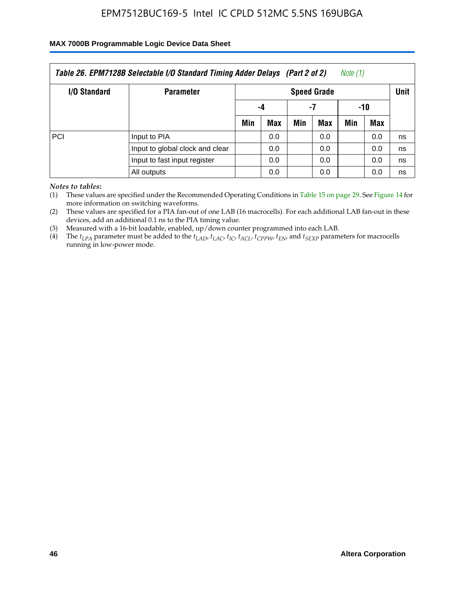#### **MAX 7000B Programmable Logic Device Data Sheet**

| Table 26. EPM7128B Selectable I/O Standard Timing Adder Delays (Part 2 of 2)<br>Note (1) |                              |                    |     |     |     |             |     |    |  |
|------------------------------------------------------------------------------------------|------------------------------|--------------------|-----|-----|-----|-------------|-----|----|--|
| I/O Standard                                                                             | <b>Parameter</b>             | <b>Speed Grade</b> |     |     |     | <b>Unit</b> |     |    |  |
|                                                                                          |                              | -4                 |     | -7  |     | -10         |     |    |  |
|                                                                                          |                              | Min                | Max | Min | Max | Min         | Max |    |  |
| PCI                                                                                      | Input to PIA                 |                    | 0.0 |     | 0.0 |             | 0.0 | ns |  |
| Input to global clock and clear                                                          |                              |                    | 0.0 |     | 0.0 |             | 0.0 | ns |  |
|                                                                                          | Input to fast input register |                    | 0.0 |     | 0.0 |             | 0.0 | ns |  |
|                                                                                          | All outputs                  |                    | 0.0 |     | 0.0 |             | 0.0 | ns |  |

*Notes to tables:*

(1) These values are specified under the Recommended Operating Conditions in Table 15 on page 29. See Figure 14 for more information on switching waveforms.

(2) These values are specified for a PIA fan-out of one LAB (16 macrocells). For each additional LAB fan-out in these devices, add an additional 0.1 ns to the PIA timing value.

(3) Measured with a 16-bit loadable, enabled, up/down counter programmed into each LAB.

(4) The  $t_{LPA}$  parameter must be added to the  $t_{LAP}$ ,  $t_{LAC}$ ,  $t_{IC}$ ,  $t_{ACL}$ ,  $t_{CPPW}$ ,  $t_{EN}$ , and  $t_{SEXP}$  parameters for macrocells running in low-power mode.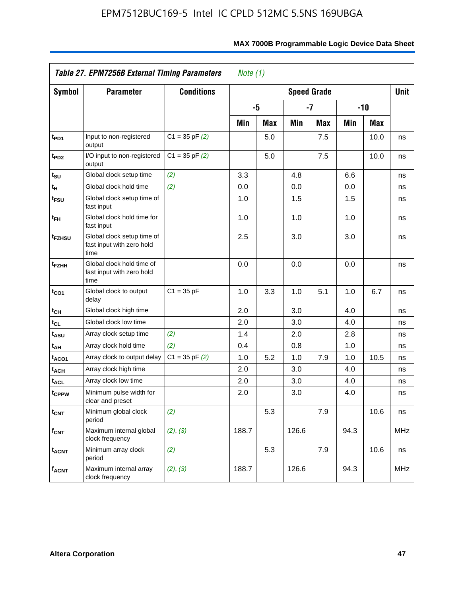|                            | Table 27. EPM7256B External Timing Parameters                   | Note $(1)$         |       |            |       |                    |      |            |             |
|----------------------------|-----------------------------------------------------------------|--------------------|-------|------------|-------|--------------------|------|------------|-------------|
| <b>Symbol</b>              | <b>Parameter</b>                                                | <b>Conditions</b>  |       |            |       | <b>Speed Grade</b> |      |            | <b>Unit</b> |
|                            |                                                                 |                    |       | -5         |       | $-7$               |      | $-10$      |             |
|                            |                                                                 |                    | Min   | <b>Max</b> | Min   | <b>Max</b>         | Min  | <b>Max</b> |             |
| t <sub>PD1</sub>           | Input to non-registered<br>output                               | $C1 = 35$ pF $(2)$ |       | 5.0        |       | 7.5                |      | 10.0       | ns          |
| t <sub>PD2</sub>           | I/O input to non-registered<br>output                           | $C1 = 35 pF(2)$    |       | 5.0        |       | 7.5                |      | 10.0       | ns          |
| t <sub>su</sub>            | Global clock setup time                                         | (2)                | 3.3   |            | 4.8   |                    | 6.6  |            | ns          |
| $t_H$                      | Global clock hold time                                          | (2)                | 0.0   |            | 0.0   |                    | 0.0  |            | ns          |
| t <sub>FSU</sub>           | Global clock setup time of<br>fast input                        |                    | 1.0   |            | 1.5   |                    | 1.5  |            | ns          |
| t <sub>FH</sub>            | Global clock hold time for<br>fast input                        |                    | 1.0   |            | 1.0   |                    | 1.0  |            | ns          |
| t <sub>FZHSU</sub>         | Global clock setup time of<br>fast input with zero hold<br>time |                    | 2.5   |            | 3.0   |                    | 3.0  |            | ns          |
| t <sub>FZHH</sub>          | Global clock hold time of<br>fast input with zero hold<br>time  |                    | 0.0   |            | 0.0   |                    | 0.0  |            | ns          |
| $t_{CO1}$                  | Global clock to output<br>delay                                 | $C1 = 35 pF$       | 1.0   | 3.3        | 1.0   | 5.1                | 1.0  | 6.7        | ns          |
| $\mathfrak{t}_{\text{CH}}$ | Global clock high time                                          |                    | 2.0   |            | 3.0   |                    | 4.0  |            | ns          |
| $t_{CL}$                   | Global clock low time                                           |                    | 2.0   |            | 3.0   |                    | 4.0  |            | ns          |
| t <sub>ASU</sub>           | Array clock setup time                                          | (2)                | 1.4   |            | 2.0   |                    | 2.8  |            | ns          |
| $t_{AH}$                   | Array clock hold time                                           | (2)                | 0.4   |            | 0.8   |                    | 1.0  |            | ns          |
| t <sub>ACO1</sub>          | Array clock to output delay                                     | $C1 = 35$ pF $(2)$ | 1.0   | 5.2        | 1.0   | 7.9                | 1.0  | 10.5       | ns          |
| $t_{ACH}$                  | Array clock high time                                           |                    | 2.0   |            | 3.0   |                    | 4.0  |            | ns          |
| <sup>t</sup> ACL           | Array clock low time                                            |                    | 2.0   |            | 3.0   |                    | 4.0  |            | ns          |
| t <sub>CPPW</sub>          | Minimum pulse width for<br>clear and preset                     |                    | 2.0   |            | 3.0   |                    | 4.0  |            | ns          |
| <b>t<sub>CNT</sub></b>     | Minimum global clock<br>period                                  | (2)                |       | 5.3        |       | 7.9                |      | 10.6       | ns          |
| $f_{\mathsf{CNT}}$         | Maximum internal global<br>clock frequency                      | (2), (3)           | 188.7 |            | 126.6 |                    | 94.3 |            | <b>MHz</b>  |
| $t_{ACNT}$                 | Minimum array clock<br>period                                   | (2)                |       | 5.3        |       | 7.9                |      | 10.6       | ns          |
| <b>f<sub>ACNT</sub></b>    | Maximum internal array<br>clock frequency                       | (2), (3)           | 188.7 |            | 126.6 |                    | 94.3 |            | <b>MHz</b>  |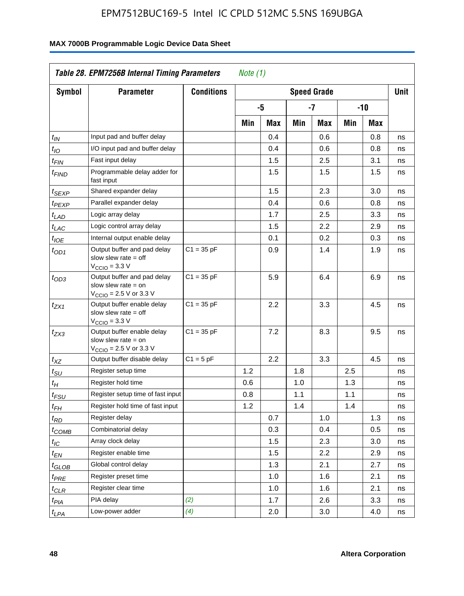| <b>Symbol</b>         | <b>Parameter</b>                                                                                            | <b>Conditions</b> | <b>Speed Grade</b> |     |     |      |     |     |    |
|-----------------------|-------------------------------------------------------------------------------------------------------------|-------------------|--------------------|-----|-----|------|-----|-----|----|
|                       |                                                                                                             |                   |                    | -5  |     | $-7$ |     | -10 |    |
|                       |                                                                                                             |                   | Min                | Max | Min | Max  | Min | Max |    |
| $t_{\mathsf{IN}}$     | Input pad and buffer delay                                                                                  |                   |                    | 0.4 |     | 0.6  |     | 0.8 | ns |
| $t_{IO}$              | I/O input pad and buffer delay                                                                              |                   |                    | 0.4 |     | 0.6  |     | 0.8 | ns |
| $t_{\sf FIN}$         | Fast input delay                                                                                            |                   |                    | 1.5 |     | 2.5  |     | 3.1 | ns |
| <sup>t</sup> FIND     | Programmable delay adder for<br>fast input                                                                  |                   |                    | 1.5 |     | 1.5  |     | 1.5 | ns |
| t <sub>SEXP</sub>     | Shared expander delay                                                                                       |                   |                    | 1.5 |     | 2.3  |     | 3.0 | ns |
| t <sub>PEXP</sub>     | Parallel expander delay                                                                                     |                   |                    | 0.4 |     | 0.6  |     | 0.8 | ns |
| t <sub>LAD</sub>      | Logic array delay                                                                                           |                   |                    | 1.7 |     | 2.5  |     | 3.3 | ns |
| t <sub>LAC</sub>      | Logic control array delay                                                                                   |                   |                    | 1.5 |     | 2.2  |     | 2.9 | ns |
| $t_{\mathit{IOE}}$    | Internal output enable delay                                                                                |                   |                    | 0.1 |     | 0.2  |     | 0.3 | ns |
| $t_{OD1}$             | Output buffer and pad delay<br>slow slew rate $=$ off<br>$V_{\text{CCIO}} = 3.3 \text{ V}$                  | $C1 = 35 pF$      |                    | 0.9 |     | 1.4  |     | 1.9 | ns |
| $t_{OD3}$             | Output buffer and pad delay<br>slow slew rate $=$ on<br>$V_{\text{CCIO}} = 2.5 \text{ V or } 3.3 \text{ V}$ | $C1 = 35 pF$      |                    | 5.9 |     | 6.4  |     | 6.9 | ns |
| t <sub>ZX1</sub>      | Output buffer enable delay<br>slow slew rate $=$ off<br>$V_{\text{CCIO}} = 3.3 \text{ V}$                   | $C1 = 35 pF$      |                    | 2.2 |     | 3.3  |     | 4.5 | ns |
| $t_{ZX3}$             | Output buffer enable delay<br>slow slew rate $=$ on<br>$V_{\text{CCIO}} = 2.5 \text{ V or } 3.3 \text{ V}$  | $C1 = 35 pF$      |                    | 7.2 |     | 8.3  |     | 9.5 | ns |
| $t_{XZ}$              | Output buffer disable delay                                                                                 | $C1 = 5pF$        |                    | 2.2 |     | 3.3  |     | 4.5 | ns |
| $t_{\text{SU}}$       | Register setup time                                                                                         |                   | 1.2                |     | 1.8 |      | 2.5 |     | ns |
| $t_H$                 | Register hold time                                                                                          |                   | 0.6                |     | 1.0 |      | 1.3 |     | ns |
| $t_{FSU}$             | Register setup time of fast input                                                                           |                   | 0.8                |     | 1.1 |      | 1.1 |     | ns |
| $t_{FH}$              | Register hold time of fast input                                                                            |                   | 1.2                |     | 1.4 |      | 1.4 |     | ns |
| $t_{RD}$              | Register delay                                                                                              |                   |                    | 0.7 |     | 1.0  |     | 1.3 | ns |
| $t_{COMB}$            | Combinatorial delay                                                                                         |                   |                    | 0.3 |     | 0.4  |     | 0.5 | ns |
| $t_{\mathcal{IC}}$    | Array clock delay                                                                                           |                   |                    | 1.5 |     | 2.3  |     | 3.0 | ns |
| $t_{EN}$              | Register enable time                                                                                        |                   |                    | 1.5 |     | 2.2  |     | 2.9 | ns |
| t <sub>GLOB</sub>     | Global control delay                                                                                        |                   |                    | 1.3 |     | 2.1  |     | 2.7 | ns |
| $t_{PRE}$             | Register preset time                                                                                        |                   |                    | 1.0 |     | 1.6  |     | 2.1 | ns |
| ${}^t\rm{CLR}$        | Register clear time                                                                                         |                   |                    | 1.0 |     | 1.6  |     | 2.1 | ns |
| $t_{PI\underline{A}}$ | PIA delay                                                                                                   | (2)               |                    | 1.7 |     | 2.6  |     | 3.3 | ns |
| $t_{LPA}$             | Low-power adder                                                                                             | (4)               |                    | 2.0 |     | 3.0  |     | 4.0 | ns |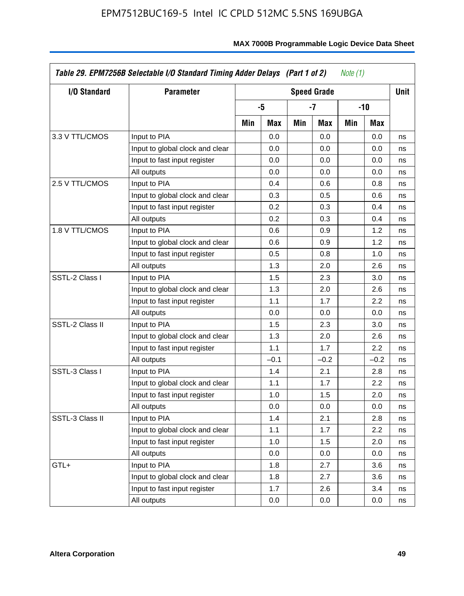| I/O Standard    | <b>Parameter</b>                | <b>Speed Grade</b> |        |     |        |     |        | <b>Unit</b> |
|-----------------|---------------------------------|--------------------|--------|-----|--------|-----|--------|-------------|
|                 |                                 | -5                 |        | -7  |        |     | -10    |             |
|                 |                                 | Min                | Max    | Min | Max    | Min | Max    |             |
| 3.3 V TTL/CMOS  | Input to PIA                    |                    | 0.0    |     | 0.0    |     | 0.0    | ns          |
|                 | Input to global clock and clear |                    | 0.0    |     | 0.0    |     | 0.0    | ns          |
|                 | Input to fast input register    |                    | 0.0    |     | 0.0    |     | 0.0    | ns          |
|                 | All outputs                     |                    | 0.0    |     | 0.0    |     | 0.0    | ns          |
| 2.5 V TTL/CMOS  | Input to PIA                    |                    | 0.4    |     | 0.6    |     | 0.8    | ns          |
|                 | Input to global clock and clear |                    | 0.3    |     | 0.5    |     | 0.6    | ns          |
|                 | Input to fast input register    |                    | 0.2    |     | 0.3    |     | 0.4    | ns          |
|                 | All outputs                     |                    | 0.2    |     | 0.3    |     | 0.4    | ns          |
| 1.8 V TTL/CMOS  | Input to PIA                    |                    | 0.6    |     | 0.9    |     | 1.2    | ns          |
|                 | Input to global clock and clear |                    | 0.6    |     | 0.9    |     | 1.2    | ns          |
|                 | Input to fast input register    |                    | 0.5    |     | 0.8    |     | 1.0    | ns          |
|                 | All outputs                     |                    | 1.3    |     | 2.0    |     | 2.6    | ns          |
| SSTL-2 Class I  | Input to PIA                    |                    | 1.5    |     | 2.3    |     | 3.0    | ns          |
|                 | Input to global clock and clear |                    | 1.3    |     | 2.0    |     | 2.6    | ns          |
|                 | Input to fast input register    |                    | 1.1    |     | 1.7    |     | 2.2    | ns          |
|                 | All outputs                     |                    | 0.0    |     | 0.0    |     | 0.0    | ns          |
| SSTL-2 Class II | Input to PIA                    |                    | 1.5    |     | 2.3    |     | 3.0    | ns          |
|                 | Input to global clock and clear |                    | 1.3    |     | 2.0    |     | 2.6    | ns          |
|                 | Input to fast input register    |                    | 1.1    |     | 1.7    |     | 2.2    | ns          |
|                 | All outputs                     |                    | $-0.1$ |     | $-0.2$ |     | $-0.2$ | ns          |
| SSTL-3 Class I  | Input to PIA                    |                    | 1.4    |     | 2.1    |     | 2.8    | ns          |
|                 | Input to global clock and clear |                    | 1.1    |     | 1.7    |     | 2.2    | ns          |
|                 | Input to fast input register    |                    | 1.0    |     | 1.5    |     | 2.0    | ns          |
|                 | All outputs                     |                    | 0.0    |     | 0.0    |     | 0.0    | ns          |
| SSTL-3 Class II | Input to PIA                    |                    | 1.4    |     | 2.1    |     | 2.8    | ns          |
|                 | Input to global clock and clear |                    | 1.1    |     | 1.7    |     | 2.2    | ns          |
|                 | Input to fast input register    |                    | 1.0    |     | 1.5    |     | 2.0    | ns          |
|                 | All outputs                     |                    | 0.0    |     | 0.0    |     | 0.0    | ns          |
| GTL+            | Input to PIA                    |                    | 1.8    |     | 2.7    |     | 3.6    | ns          |
|                 | Input to global clock and clear |                    | 1.8    |     | 2.7    |     | 3.6    | ns          |
|                 | Input to fast input register    |                    | 1.7    |     | 2.6    |     | 3.4    | ns          |
|                 | All outputs                     |                    | 0.0    |     | 0.0    |     | 0.0    | ns          |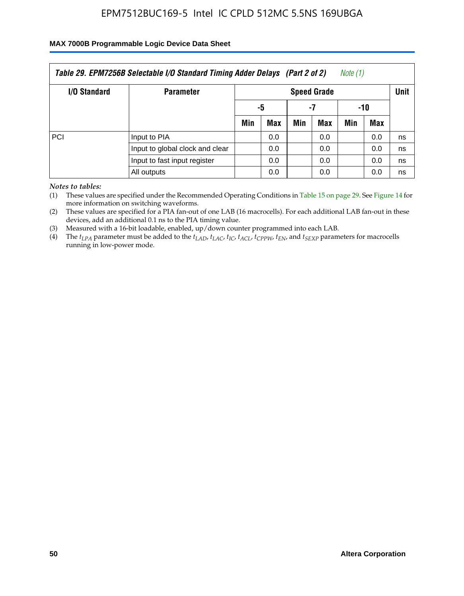#### **MAX 7000B Programmable Logic Device Data Sheet**

| Table 29. EPM7256B Selectable I/O Standard Timing Adder Delays (Part 2 of 2)<br>Note (1) |                  |                    |     |     |     |             |     |    |  |
|------------------------------------------------------------------------------------------|------------------|--------------------|-----|-----|-----|-------------|-----|----|--|
| <b>I/O Standard</b>                                                                      | <b>Parameter</b> | <b>Speed Grade</b> |     |     |     | <b>Unit</b> |     |    |  |
|                                                                                          |                  | -5                 |     | -7  |     | -10         |     |    |  |
|                                                                                          |                  | Min                | Max | Min | Max | Min         | Max |    |  |
| PCI                                                                                      | Input to PIA     |                    | 0.0 |     | 0.0 |             | 0.0 | ns |  |
| Input to global clock and clear                                                          |                  |                    | 0.0 |     | 0.0 |             | 0.0 | ns |  |
| Input to fast input register                                                             |                  |                    | 0.0 |     | 0.0 |             | 0.0 | ns |  |
|                                                                                          | All outputs      |                    | 0.0 |     | 0.0 |             | 0.0 | ns |  |

*Notes to tables:*

(1) These values are specified under the Recommended Operating Conditions in Table 15 on page 29. See Figure 14 for more information on switching waveforms.

(2) These values are specified for a PIA fan-out of one LAB (16 macrocells). For each additional LAB fan-out in these devices, add an additional 0.1 ns to the PIA timing value.

(3) Measured with a 16-bit loadable, enabled, up/down counter programmed into each LAB.

(4) The  $t_{LPA}$  parameter must be added to the  $t_{LAP}$ ,  $t_{LAP}$ ,  $t_{LCP}$ ,  $t_{ACL}$ ,  $t_{CPPW}$ ,  $t_{EN}$ , and  $t_{SEXP}$  parameters for macrocells running in low-power mode.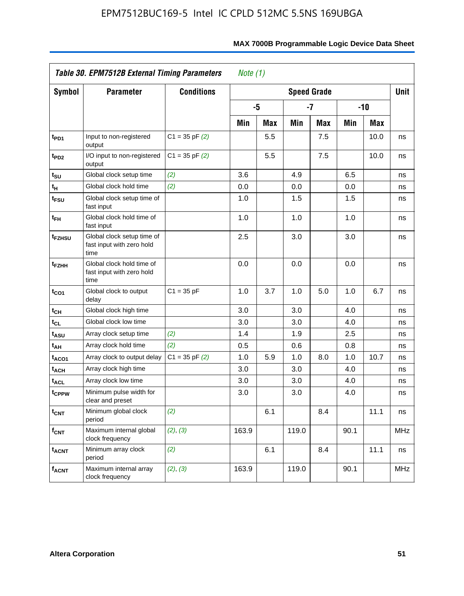| Table 30. EPM7512B External Timing Parameters<br>Note $(1)$ |                                                                 |                    |       |            |       |                    |      |            |             |
|-------------------------------------------------------------|-----------------------------------------------------------------|--------------------|-------|------------|-------|--------------------|------|------------|-------------|
| Symbol                                                      | <b>Parameter</b>                                                | <b>Conditions</b>  |       |            |       | <b>Speed Grade</b> |      |            | <b>Unit</b> |
|                                                             |                                                                 |                    |       | -5         |       | $-7$               |      | $-10$      |             |
|                                                             |                                                                 |                    | Min   | <b>Max</b> | Min   | <b>Max</b>         | Min  | <b>Max</b> |             |
| t <sub>PD1</sub>                                            | Input to non-registered<br>output                               | $C1 = 35$ pF $(2)$ |       | 5.5        |       | 7.5                |      | 10.0       | ns          |
| t <sub>PD2</sub>                                            | I/O input to non-registered<br>output                           | $C1 = 35$ pF $(2)$ |       | 5.5        |       | 7.5                |      | 10.0       | ns          |
| $t_{\text{SU}}$                                             | Global clock setup time                                         | (2)                | 3.6   |            | 4.9   |                    | 6.5  |            | ns          |
| tμ                                                          | Global clock hold time                                          | (2)                | 0.0   |            | 0.0   |                    | 0.0  |            | ns          |
| t <sub>FSU</sub>                                            | Global clock setup time of<br>fast input                        |                    | 1.0   |            | 1.5   |                    | 1.5  |            | ns          |
| $t_{FH}$                                                    | Global clock hold time of<br>fast input                         |                    | 1.0   |            | 1.0   |                    | 1.0  |            | ns          |
| t <sub>FZHSU</sub>                                          | Global clock setup time of<br>fast input with zero hold<br>time |                    | 2.5   |            | 3.0   |                    | 3.0  |            | ns          |
| t <sub>FZHH</sub>                                           | Global clock hold time of<br>fast input with zero hold<br>time  |                    | 0.0   |            | 0.0   |                    | 0.0  |            | ns          |
| $t_{CO1}$                                                   | Global clock to output<br>delay                                 | $C1 = 35 pF$       | 1.0   | 3.7        | 1.0   | 5.0                | 1.0  | 6.7        | ns          |
| $t_{CH}$                                                    | Global clock high time                                          |                    | 3.0   |            | 3.0   |                    | 4.0  |            | ns          |
| $t_{CL}$                                                    | Global clock low time                                           |                    | 3.0   |            | 3.0   |                    | 4.0  |            | ns          |
| t <sub>ASU</sub>                                            | Array clock setup time                                          | (2)                | 1.4   |            | 1.9   |                    | 2.5  |            | ns          |
| t <sub>AH</sub>                                             | Array clock hold time                                           | (2)                | 0.5   |            | 0.6   |                    | 0.8  |            | ns          |
| t <sub>ACO1</sub>                                           | Array clock to output delay                                     | $C1 = 35$ pF $(2)$ | 1.0   | 5.9        | 1.0   | 8.0                | 1.0  | 10.7       | ns          |
| t <sub>ACH</sub>                                            | Array clock high time                                           |                    | 3.0   |            | 3.0   |                    | 4.0  |            | ns          |
| <b>t<sub>ACL</sub></b>                                      | Array clock low time                                            |                    | 3.0   |            | 3.0   |                    | 4.0  |            | ns          |
| tcppw                                                       | Minimum pulse width for<br>clear and preset                     |                    | 3.0   |            | 3.0   |                    | 4.0  |            | ns          |
| $t_{\text{CNT}}$                                            | Minimum global clock<br>period                                  | (2)                |       | 6.1        |       | 8.4                |      | 11.1       | ns          |
| $f_{CNT}$                                                   | Maximum internal global<br>clock frequency                      | (2), (3)           | 163.9 |            | 119.0 |                    | 90.1 |            | <b>MHz</b>  |
| <b>t<sub>ACNT</sub></b>                                     | Minimum array clock<br>period                                   | (2)                |       | 6.1        |       | 8.4                |      | 11.1       | ns          |
| f <sub>ACNT</sub>                                           | Maximum internal array<br>clock frequency                       | (2), (3)           | 163.9 |            | 119.0 |                    | 90.1 |            | <b>MHz</b>  |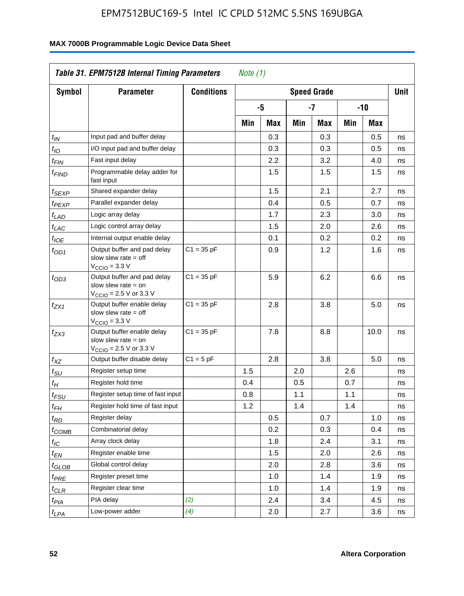| Symbol                      | <b>Parameter</b>                                                                                            | <b>Conditions</b> | <b>Speed Grade</b> |     |     |     |     |       |    |
|-----------------------------|-------------------------------------------------------------------------------------------------------------|-------------------|--------------------|-----|-----|-----|-----|-------|----|
|                             |                                                                                                             |                   |                    | -5  |     | -7  |     | $-10$ |    |
|                             |                                                                                                             |                   | Min                | Max | Min | Max | Min | Max   |    |
| $t_{IN}$                    | Input pad and buffer delay                                                                                  |                   |                    | 0.3 |     | 0.3 |     | 0.5   | ns |
| $t_{IO}$                    | I/O input pad and buffer delay                                                                              |                   |                    | 0.3 |     | 0.3 |     | 0.5   | ns |
| $t_{\sf FIN}$               | Fast input delay                                                                                            |                   |                    | 2.2 |     | 3.2 |     | 4.0   | ns |
| <sup>t</sup> FIND           | Programmable delay adder for<br>fast input                                                                  |                   |                    | 1.5 |     | 1.5 |     | 1.5   | ns |
| t <sub>SEXP</sub>           | Shared expander delay                                                                                       |                   |                    | 1.5 |     | 2.1 |     | 2.7   | ns |
| t <sub>PEXP</sub>           | Parallel expander delay                                                                                     |                   |                    | 0.4 |     | 0.5 |     | 0.7   | ns |
| $t_{LAD}$                   | Logic array delay                                                                                           |                   |                    | 1.7 |     | 2.3 |     | 3.0   | ns |
| $t_{LAC}$                   | Logic control array delay                                                                                   |                   |                    | 1.5 |     | 2.0 |     | 2.6   | ns |
| $t_{\mathit{IOE}}$          | Internal output enable delay                                                                                |                   |                    | 0.1 |     | 0.2 |     | 0.2   | ns |
| $t_{OD1}$                   | Output buffer and pad delay<br>slow slew rate $=$ off<br>$V_{\text{CCIO}} = 3.3 \text{ V}$                  | $C1 = 35 pF$      |                    | 0.9 |     | 1.2 |     | 1.6   | ns |
| $t_{OD3}$                   | Output buffer and pad delay<br>slow slew rate $=$ on<br>$V_{\text{CCIO}} = 2.5 \text{ V or } 3.3 \text{ V}$ | $C1 = 35 pF$      |                    | 5.9 |     | 6.2 |     | 6.6   | ns |
| $t_{ZX1}$                   | Output buffer enable delay<br>slow slew rate $=$ off<br>$V_{\text{CCIO}} = 3.3 \text{ V}$                   | $C1 = 35 pF$      |                    | 2.8 |     | 3.8 |     | 5.0   | ns |
| $t_{ZX3}$                   | Output buffer enable delay<br>slow slew rate $=$ on<br>$V_{\text{CCIO}} = 2.5 \text{ V or } 3.3 \text{ V}$  | $C1 = 35 pF$      |                    | 7.8 |     | 8.8 |     | 10.0  | ns |
| $t_{XZ}$                    | Output buffer disable delay                                                                                 | $C1 = 5pF$        |                    | 2.8 |     | 3.8 |     | 5.0   | ns |
| $t_{\scriptstyle\text{SU}}$ | Register setup time                                                                                         |                   | 1.5                |     | 2.0 |     | 2.6 |       | ns |
| $t_H$                       | Register hold time                                                                                          |                   | 0.4                |     | 0.5 |     | 0.7 |       | ns |
| $t_{FSU}$                   | Register setup time of fast input                                                                           |                   | 0.8                |     | 1.1 |     | 1.1 |       | ns |
| t <sub>FH</sub>             | Register hold time of fast input                                                                            |                   | 1.2                |     | 1.4 |     | 1.4 |       | ns |
| $t_{RD}$                    | Register delay                                                                                              |                   |                    | 0.5 |     | 0.7 |     | 1.0   | ns |
| $t_{\rm COMB}$              | Combinatorial delay                                                                                         |                   |                    | 0.2 |     | 0.3 |     | 0.4   | ns |
| $t_{\mathcal{IC}}$          | Array clock delay                                                                                           |                   |                    | 1.8 |     | 2.4 |     | 3.1   | ns |
| $t_{EN}$                    | Register enable time                                                                                        |                   |                    | 1.5 |     | 2.0 |     | 2.6   | ns |
| t <sub>GLOB</sub>           | Global control delay                                                                                        |                   |                    | 2.0 |     | 2.8 |     | 3.6   | ns |
| $t_{PRE}$                   | Register preset time                                                                                        |                   |                    | 1.0 |     | 1.4 |     | 1.9   | ns |
| $t_{\text{CLR}}$            | Register clear time                                                                                         |                   |                    | 1.0 |     | 1.4 |     | 1.9   | ns |
| $t_{PI\underline{A}}$       | PIA delay                                                                                                   | (2)               |                    | 2.4 |     | 3.4 |     | 4.5   | ns |
| $t_{LPA}$                   | Low-power adder                                                                                             | (4)               |                    | 2.0 |     | 2.7 |     | 3.6   | ns |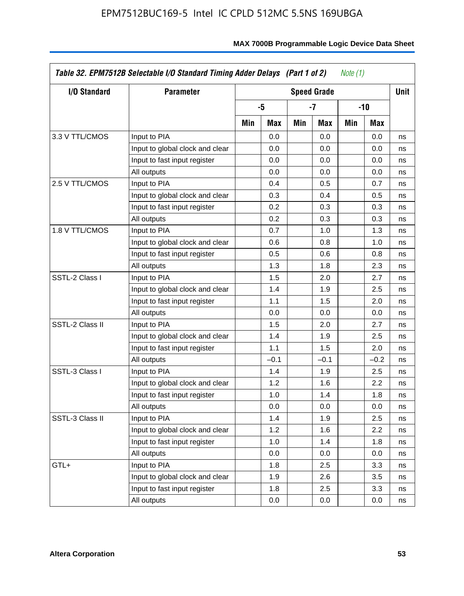| I/O Standard    | <b>Parameter</b>                | <b>Speed Grade</b> |        |     |        |     |        | <b>Unit</b> |
|-----------------|---------------------------------|--------------------|--------|-----|--------|-----|--------|-------------|
|                 |                                 | -5                 |        | -7  |        |     | -10    |             |
|                 |                                 | Min                | Max    | Min | Max    | Min | Max    |             |
| 3.3 V TTL/CMOS  | Input to PIA                    |                    | 0.0    |     | 0.0    |     | 0.0    | ns          |
|                 | Input to global clock and clear |                    | 0.0    |     | 0.0    |     | 0.0    | ns          |
|                 | Input to fast input register    |                    | 0.0    |     | 0.0    |     | 0.0    | ns          |
|                 | All outputs                     |                    | 0.0    |     | 0.0    |     | 0.0    | ns          |
| 2.5 V TTL/CMOS  | Input to PIA                    |                    | 0.4    |     | 0.5    |     | 0.7    | ns          |
|                 | Input to global clock and clear |                    | 0.3    |     | 0.4    |     | 0.5    | ns          |
|                 | Input to fast input register    |                    | 0.2    |     | 0.3    |     | 0.3    | ns          |
|                 | All outputs                     |                    | 0.2    |     | 0.3    |     | 0.3    | ns          |
| 1.8 V TTL/CMOS  | Input to PIA                    |                    | 0.7    |     | 1.0    |     | 1.3    | ns          |
|                 | Input to global clock and clear |                    | 0.6    |     | 0.8    |     | 1.0    | ns          |
|                 | Input to fast input register    |                    | 0.5    |     | 0.6    |     | 0.8    | ns          |
|                 | All outputs                     |                    | 1.3    |     | 1.8    |     | 2.3    | ns          |
| SSTL-2 Class I  | Input to PIA                    |                    | 1.5    |     | 2.0    |     | 2.7    | ns          |
|                 | Input to global clock and clear |                    | 1.4    |     | 1.9    |     | 2.5    | ns          |
|                 | Input to fast input register    |                    | 1.1    |     | 1.5    |     | 2.0    | ns          |
|                 | All outputs                     |                    | 0.0    |     | 0.0    |     | 0.0    | ns          |
| SSTL-2 Class II | Input to PIA                    |                    | 1.5    |     | 2.0    |     | 2.7    | ns          |
|                 | Input to global clock and clear |                    | 1.4    |     | 1.9    |     | 2.5    | ns          |
|                 | Input to fast input register    |                    | 1.1    |     | 1.5    |     | 2.0    | ns          |
|                 | All outputs                     |                    | $-0.1$ |     | $-0.1$ |     | $-0.2$ | ns          |
| SSTL-3 Class I  | Input to PIA                    |                    | 1.4    |     | 1.9    |     | 2.5    | ns          |
|                 | Input to global clock and clear |                    | 1.2    |     | 1.6    |     | 2.2    | ns          |
|                 | Input to fast input register    |                    | 1.0    |     | 1.4    |     | 1.8    | ns          |
|                 | All outputs                     |                    | 0.0    |     | 0.0    |     | 0.0    | ns          |
| SSTL-3 Class II | Input to PIA                    |                    | 1.4    |     | 1.9    |     | 2.5    | ns          |
|                 | Input to global clock and clear |                    | 1.2    |     | 1.6    |     | 2.2    | ns          |
|                 | Input to fast input register    |                    | 1.0    |     | 1.4    |     | 1.8    | ns          |
|                 | All outputs                     |                    | 0.0    |     | 0.0    |     | 0.0    | ns          |
| GTL+            | Input to PIA                    |                    | 1.8    |     | 2.5    |     | 3.3    | ns          |
|                 | Input to global clock and clear |                    | 1.9    |     | 2.6    |     | 3.5    | ns          |
|                 | Input to fast input register    |                    | 1.8    |     | 2.5    |     | 3.3    | ns          |
|                 | All outputs                     |                    | 0.0    |     | 0.0    |     | 0.0    | ns          |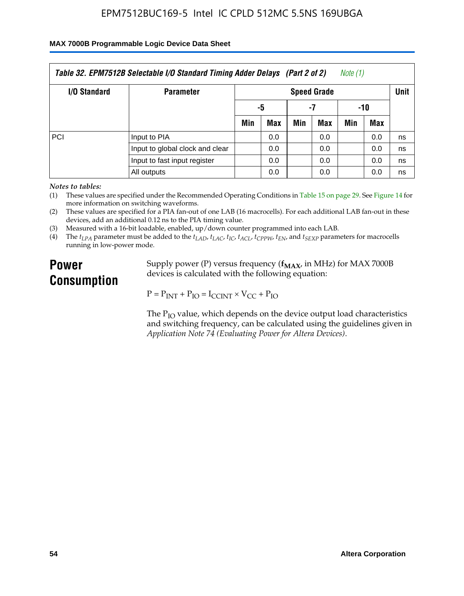#### **MAX 7000B Programmable Logic Device Data Sheet**

| Table 32. EPM7512B Selectable I/O Standard Timing Adder Delays (Part 2 of 2)<br>Note (1) |                              |                    |     |     |     |      |     |    |  |
|------------------------------------------------------------------------------------------|------------------------------|--------------------|-----|-----|-----|------|-----|----|--|
| <b>I/O Standard</b>                                                                      | <b>Parameter</b>             | <b>Speed Grade</b> |     |     |     | Unit |     |    |  |
|                                                                                          |                              | -5                 |     | -7  |     | -10  |     |    |  |
|                                                                                          |                              | Min                | Max | Min | Max | Min  | Max |    |  |
| <b>PCI</b>                                                                               | Input to PIA                 |                    | 0.0 |     | 0.0 |      | 0.0 | ns |  |
| Input to global clock and clear                                                          |                              |                    | 0.0 |     | 0.0 |      | 0.0 | ns |  |
|                                                                                          | Input to fast input register |                    | 0.0 |     | 0.0 |      | 0.0 | ns |  |
|                                                                                          | All outputs                  |                    | 0.0 |     | 0.0 |      | 0.0 | ns |  |

*Notes to tables:*

(1) These values are specified under the Recommended Operating Conditions in Table 15 on page 29. See Figure 14 for more information on switching waveforms.

(2) These values are specified for a PIA fan-out of one LAB (16 macrocells). For each additional LAB fan-out in these devices, add an additional 0.12 ns to the PIA timing value.

(3) Measured with a 16-bit loadable, enabled, up/down counter programmed into each LAB.

(4) The  $t_{LPA}$  parameter must be added to the  $t_{LAD}$ ,  $t_{LAC}$ ,  $t_{IC}$ ,  $t_{ACL}$ ,  $t_{CPPW}$ ,  $t_{EN}$ , and  $t_{SEXP}$  parameters for macrocells running in low-power mode.

# **Power Consumption**

Supply power (P) versus frequency ( $f_{MAX}$ , in MHz) for MAX 7000B devices is calculated with the following equation:

 $P = P_{INT} + P_{IO} = I_{CCINT} \times V_{CC} + P_{IO}$ 

The  $P_{IO}$  value, which depends on the device output load characteristics and switching frequency, can be calculated using the guidelines given in *Application Note 74 (Evaluating Power for Altera Devices)*.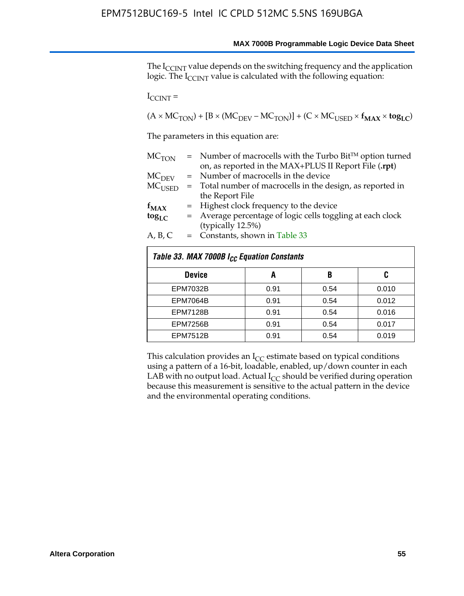The I<sub>CCINT</sub> value depends on the switching frequency and the application logic. The  $I_{\text{CCINT}}$  value is calculated with the following equation:

 $I_{\text{CCINT}} =$ 

 $(A \times MC_{TON}) + [B \times (MC_{DEV} - MC_{TON})] + (C \times MC_{USED} \times f_{MAX} \times to_{LC})$ 

The parameters in this equation are:

| MC <sub>TON</sub> | $=$ Number of macrocells with the Turbo Bit <sup>TM</sup> option turned |
|-------------------|-------------------------------------------------------------------------|
|                   | on, as reported in the MAX+PLUS II Report File (.rpt)                   |
| MC <sub>DFV</sub> | = Number of macrocells in the device                                    |
| $MC_{LISED}$      | = Total number of macrocells in the design, as reported in              |
|                   | the Report File                                                         |
| $f_{MAX}$         | = Highest clock frequency to the device                                 |
| $tog_{LC}$        | = Average percentage of logic cells toggling at each clock              |
|                   | (typically 12.5%)                                                       |
| A, B, C           | $=$ Constants, shown in Table 33                                        |

| Table 33. MAX 7000B I <sub>CC</sub> Equation Constants |      |      |       |  |  |  |  |  |
|--------------------------------------------------------|------|------|-------|--|--|--|--|--|
| <b>Device</b>                                          | A    | B    | C     |  |  |  |  |  |
| <b>EPM7032B</b>                                        | 0.91 | 0.54 | 0.010 |  |  |  |  |  |
| <b>EPM7064B</b>                                        | 0.91 | 0.54 | 0.012 |  |  |  |  |  |
| <b>EPM7128B</b>                                        | 0.91 | 0.54 | 0.016 |  |  |  |  |  |
| <b>EPM7256B</b>                                        | 0.91 | 0.54 | 0.017 |  |  |  |  |  |
| <b>EPM7512B</b>                                        | 0.91 | 0.54 | 0.019 |  |  |  |  |  |

This calculation provides an  $I_{CC}$  estimate based on typical conditions using a pattern of a 16-bit, loadable, enabled, up/down counter in each LAB with no output load. Actual  $I_{CC}$  should be verified during operation because this measurement is sensitive to the actual pattern in the device and the environmental operating conditions.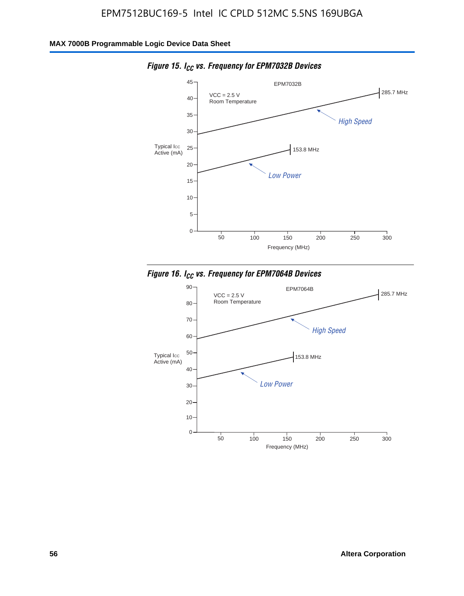

*Figure 15. ICC vs. Frequency for EPM7032B Devices*



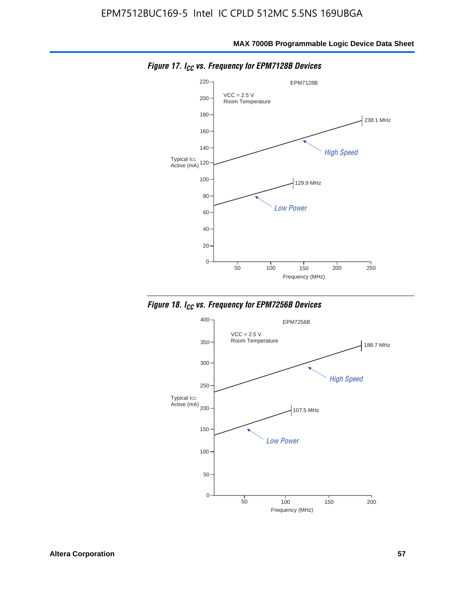

*Figure 17. ICC vs. Frequency for EPM7128B Devices*



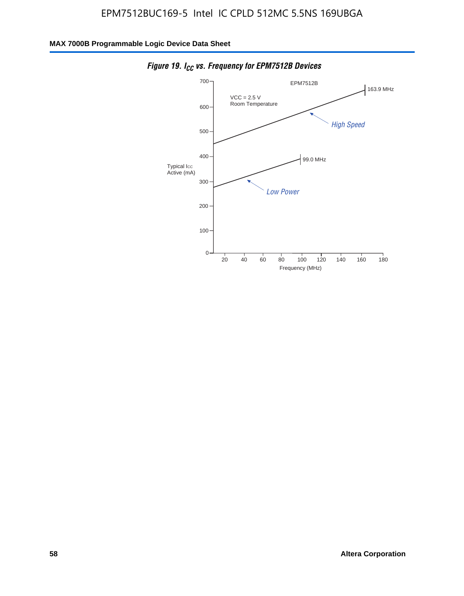

*Figure 19. I<sub>CC</sub> vs. Frequency for EPM7512B Devices*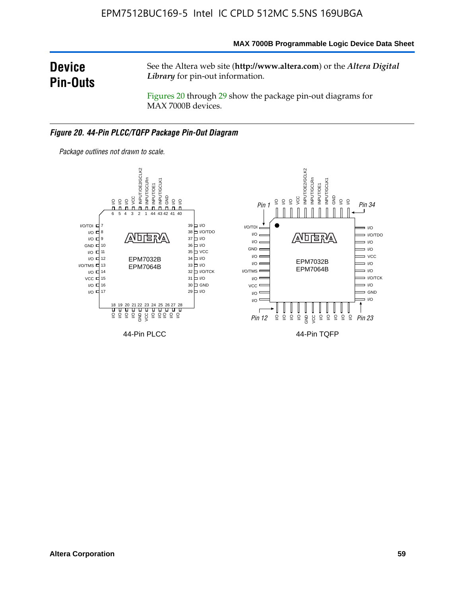#### **MAX 7000B Programmable Logic Device Data Sheet**

# **Device Pin-Outs**

See the Altera web site (**http://www.altera.com**) or the *Altera Digital Library* for pin-out information.

Figures 20 through 29 show the package pin-out diagrams for MAX 7000B devices.

#### *Figure 20. 44-Pin PLCC/TQFP Package Pin-Out Diagram*



*Package outlines not drawn to scale.*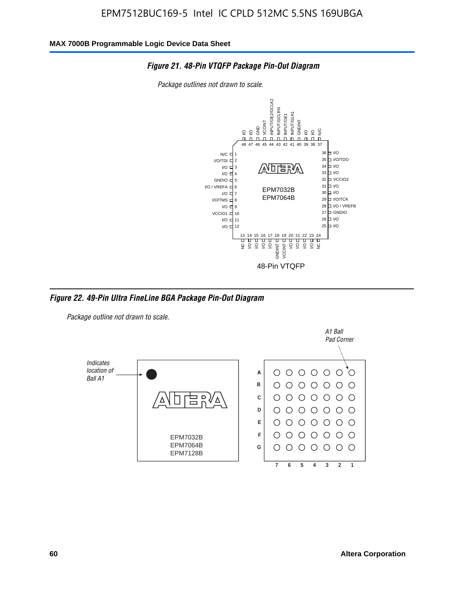

*Package outlines not drawn to scale.*



*Figure 22. 49-Pin Ultra FineLine BGA Package Pin-Out Diagram*

*Package outline not drawn to scale.*

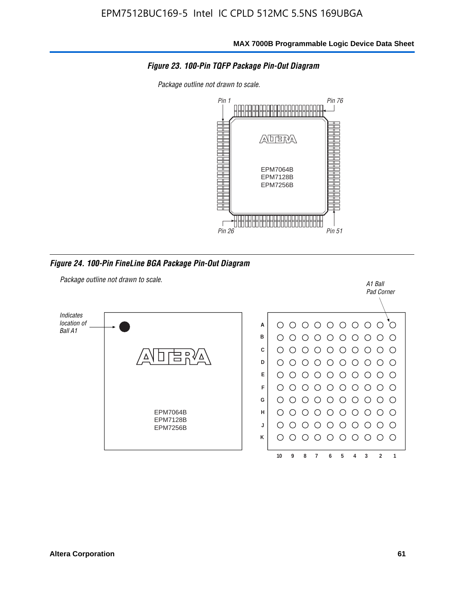

*Package outline not drawn to scale.*



*Figure 24. 100-Pin FineLine BGA Package Pin-Out Diagram*

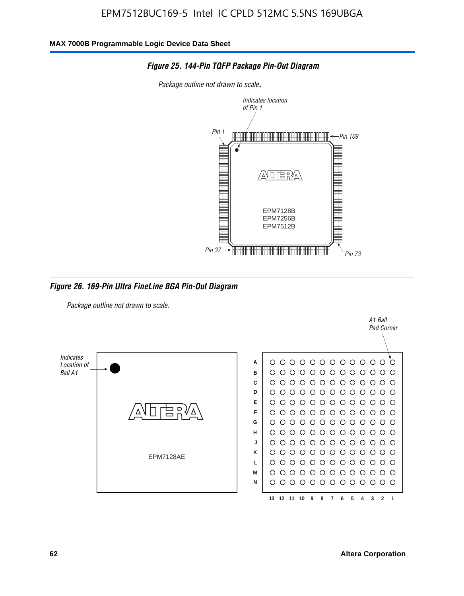

*Figure 25. 144-Pin TQFP Package Pin-Out Diagram*

*Package outline not drawn to scale*.

*Figure 26. 169-Pin Ultra FineLine BGA Pin-Out Diagram*

*Package outline not drawn to scale.*



A1 Ball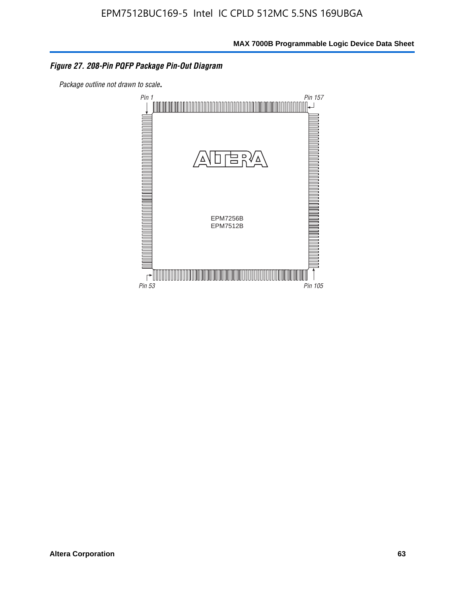#### *Figure 27. 208-Pin PQFP Package Pin-Out Diagram*

*Package outline not drawn to scale*.

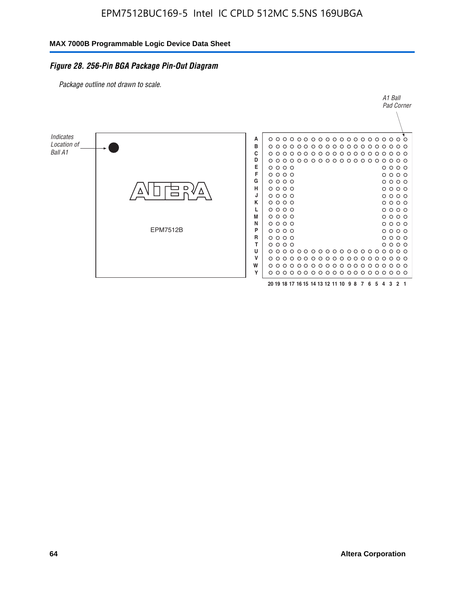#### *Figure 28. 256-Pin BGA Package Pin-Out Diagram*

*Package outline not drawn to scale.*

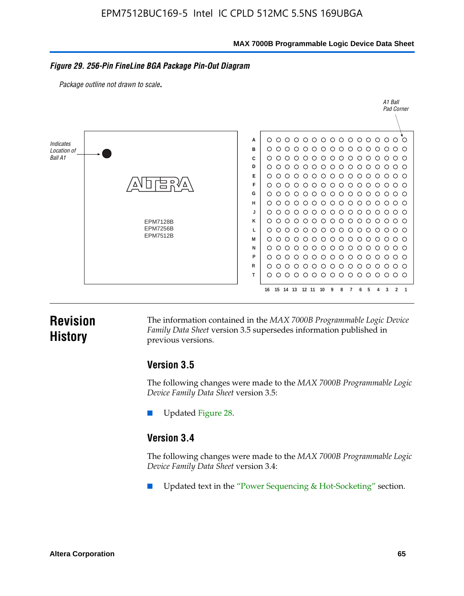**MAX 7000B Programmable Logic Device Data Sheet**

#### *Figure 29. 256-Pin FineLine BGA Package Pin-Out Diagram*

*Package outline not drawn to scale*.



# **Revision History**

The information contained in the *MAX 7000B Programmable Logic Device Family Data Sheet* version 3.5 supersedes information published in previous versions.

#### **Version 3.5**

The following changes were made to the *MAX 7000B Programmable Logic Device Family Data Sheet* version 3.5:

Updated Figure 28.

### **Version 3.4**

The following changes were made to the *MAX 7000B Programmable Logic Device Family Data Sheet* version 3.4:

Updated text in the "Power Sequencing & Hot-Socketing" section.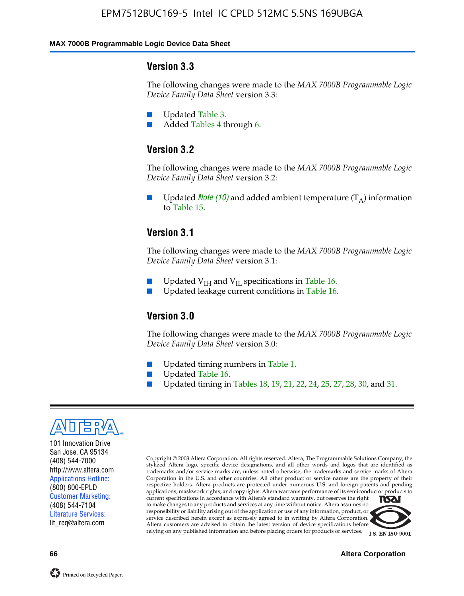#### **MAX 7000B Programmable Logic Device Data Sheet**

#### **Version 3.3**

The following changes were made to the *MAX 7000B Programmable Logic Device Family Data Sheet* version 3.3:

- Updated Table 3.
- Added Tables 4 through 6.

# **Version 3.2**

The following changes were made to the *MAX 7000B Programmable Logic Device Family Data Sheet* version 3.2:

Updated *Note* (10) and added ambient temperature  $(T_A)$  information to Table 15.

#### **Version 3.1**

The following changes were made to the *MAX 7000B Programmable Logic Device Family Data Sheet* version 3.1:

- Updated  $V_{\text{IH}}$  and  $V_{\text{II}}$  specifications in Table 16.
- Updated leakage current conditions in Table 16.

### **Version 3.0**

The following changes were made to the *MAX 7000B Programmable Logic Device Family Data Sheet* version 3.0:

- Updated timing numbers in Table 1.
- Updated Table 16.
- Updated timing in Tables 18, 19, 21, 22, 24, 25, 27, 28, 30, and 31.



101 Innovation Drive San Jose, CA 95134 (408) 544-7000 http://www.altera.com Applications Hotline: (800) 800-EPLD Customer Marketing: (408) 544-7104 Literature Services: lit\_req@altera.com

Copyright © 2003 Altera Corporation. All rights reserved. Altera, The Programmable Solutions Company, the stylized Altera logo, specific device designations, and all other words and logos that are identified as trademarks and/or service marks are, unless noted otherwise, the trademarks and service marks of Altera Corporation in the U.S. and other countries. All other product or service names are the property of their respective holders. Altera products are protected under numerous U.S. and foreign patents and pending applications, maskwork rights, and copyrights. Altera warrants performance of its semiconductor products to current specifications in accordance with Altera's standard warranty, but reserves the right **TSAI** to make changes to any products and services at any time without notice. Altera assumes no responsibility or liability arising out of the application or use of any information, product, or service described herein except as expressly agreed to in writing by Altera Corporation.

Altera customers are advised to obtain the latest version of device specifications before relying on any published information and before placing orders for products or services.